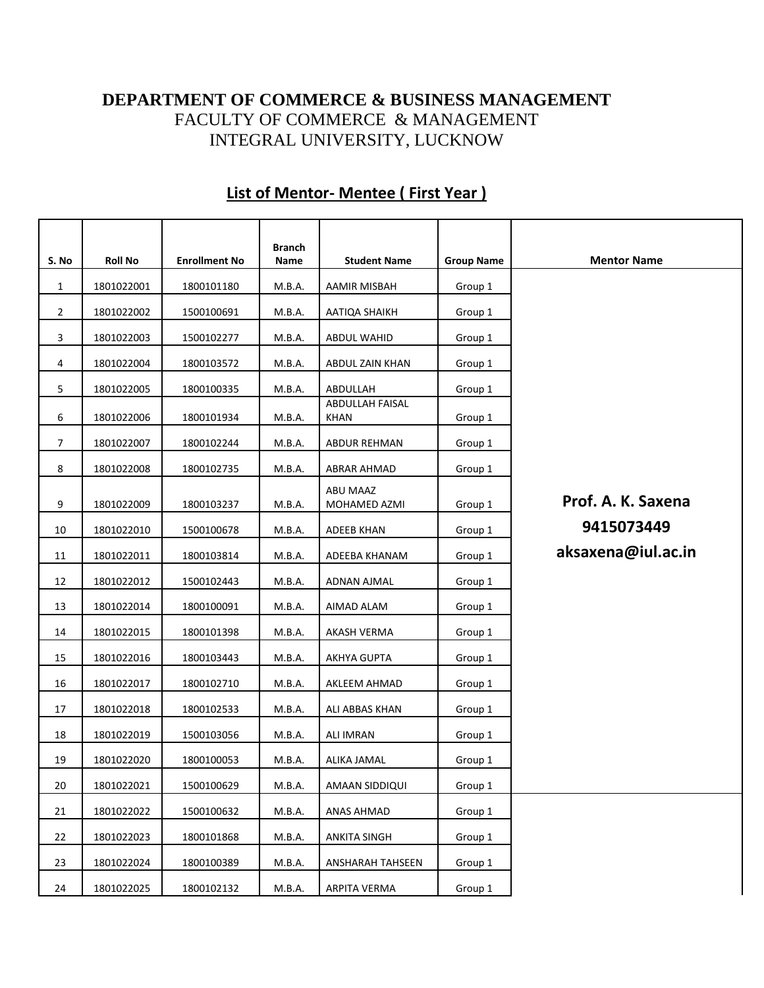## **DEPARTMENT OF COMMERCE & BUSINESS MANAGEMENT** FACULTY OF COMMERCE & MANAGEMENT INTEGRAL UNIVERSITY, LUCKNOW

| S. No          | <b>Roll No</b> | <b>Enrollment No</b> | <b>Branch</b><br>Name | <b>Student Name</b>                   | <b>Group Name</b> | <b>Mentor Name</b> |
|----------------|----------------|----------------------|-----------------------|---------------------------------------|-------------------|--------------------|
|                |                |                      |                       |                                       |                   |                    |
| $\mathbf{1}$   | 1801022001     | 1800101180           | M.B.A.                | AAMIR MISBAH                          | Group 1           |                    |
| $\overline{2}$ | 1801022002     | 1500100691           | M.B.A.                | AATIQA SHAIKH                         | Group 1           |                    |
| 3              | 1801022003     | 1500102277           | M.B.A.                | ABDUL WAHID                           | Group 1           |                    |
| 4              | 1801022004     | 1800103572           | M.B.A.                | ABDUL ZAIN KHAN                       | Group 1           |                    |
| 5              | 1801022005     | 1800100335           | M.B.A.                | ABDULLAH                              | Group 1           |                    |
| 6              | 1801022006     | 1800101934           | M.B.A.                | <b>ABDULLAH FAISAL</b><br><b>KHAN</b> | Group 1           |                    |
| 7              | 1801022007     | 1800102244           | M.B.A.                | <b>ABDUR REHMAN</b>                   | Group 1           |                    |
| 8              | 1801022008     | 1800102735           | M.B.A.                | ABRAR AHMAD                           | Group 1           |                    |
| 9              | 1801022009     | 1800103237           | M.B.A.                | ABU MAAZ<br>MOHAMED AZMI              | Group 1           | Prof. A. K. Saxena |
| 10             | 1801022010     | 1500100678           | M.B.A.                | <b>ADEEB KHAN</b>                     | Group 1           | 9415073449         |
| 11             | 1801022011     | 1800103814           | M.B.A.                | ADEEBA KHANAM                         | Group 1           | aksaxena@iul.ac.in |
| 12             | 1801022012     | 1500102443           | M.B.A.                | ADNAN AJMAL                           | Group 1           |                    |
| 13             | 1801022014     | 1800100091           | M.B.A.                | AIMAD ALAM                            | Group 1           |                    |
| 14             | 1801022015     | 1800101398           | M.B.A.                | AKASH VERMA                           | Group 1           |                    |
| 15             | 1801022016     | 1800103443           | M.B.A.                | AKHYA GUPTA                           | Group 1           |                    |
| 16             | 1801022017     | 1800102710           | M.B.A.                | AKLEEM AHMAD                          | Group 1           |                    |
| 17             | 1801022018     | 1800102533           | M.B.A.                | ALI ABBAS KHAN                        | Group 1           |                    |
| 18             | 1801022019     | 1500103056           | M.B.A.                | <b>ALI IMRAN</b>                      | Group 1           |                    |
| 19             | 1801022020     | 1800100053           | M.B.A.                | ALIKA JAMAL                           | Group 1           |                    |
| 20             | 1801022021     | 1500100629           | M.B.A.                | AMAAN SIDDIQUI                        | Group 1           |                    |
| 21             | 1801022022     | 1500100632           | M.B.A.                | ANAS AHMAD                            | Group 1           |                    |
| 22             | 1801022023     | 1800101868           | M.B.A.                | ANKITA SINGH                          | Group 1           |                    |
| 23             | 1801022024     | 1800100389           | M.B.A.                | ANSHARAH TAHSEEN                      | Group 1           |                    |
| 24             | 1801022025     | 1800102132           | M.B.A.                | ARPITA VERMA                          | Group 1           |                    |

## **List of Mentor- Mentee ( First Year )**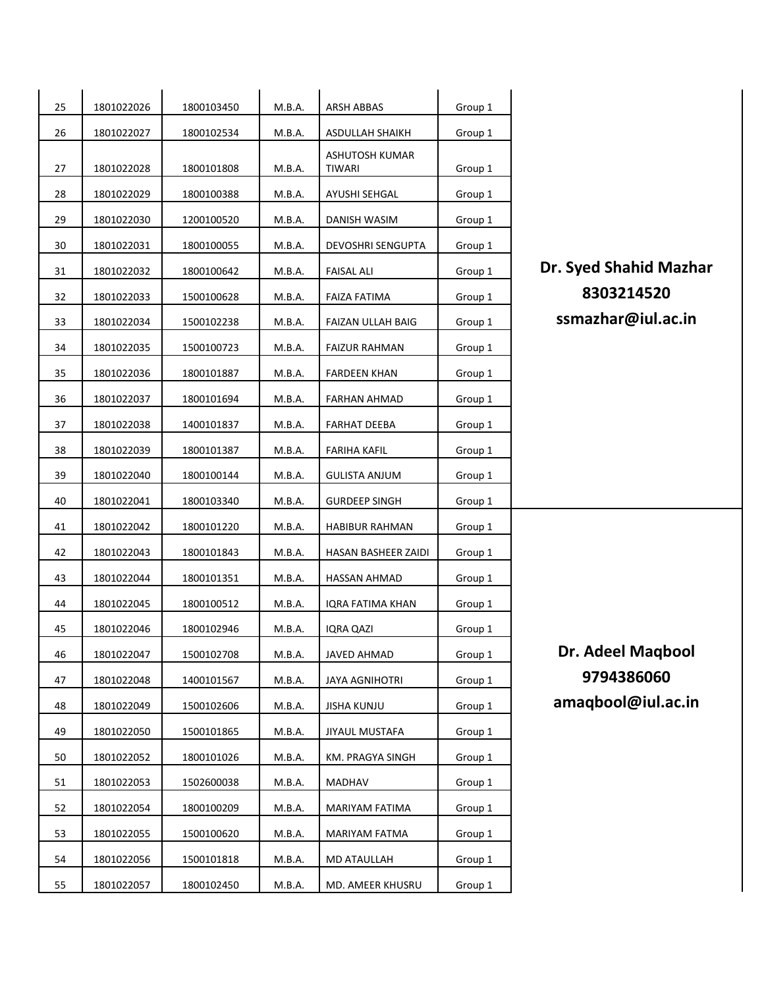| 25 | 1801022026 | 1800103450 | M.B.A. | ARSH ABBAS                      | Group 1 |                        |
|----|------------|------------|--------|---------------------------------|---------|------------------------|
| 26 | 1801022027 | 1800102534 | M.B.A. | ASDULLAH SHAIKH                 | Group 1 |                        |
| 27 | 1801022028 | 1800101808 | M.B.A. | ASHUTOSH KUMAR<br><b>TIWARI</b> | Group 1 |                        |
| 28 | 1801022029 | 1800100388 | M.B.A. | AYUSHI SEHGAL                   | Group 1 |                        |
| 29 | 1801022030 | 1200100520 | M.B.A. | DANISH WASIM                    | Group 1 |                        |
| 30 | 1801022031 | 1800100055 | M.B.A. | DEVOSHRI SENGUPTA               | Group 1 |                        |
| 31 | 1801022032 | 1800100642 | M.B.A. | <b>FAISAL ALI</b>               | Group 1 | Dr. Syed Shahid Mazhar |
| 32 | 1801022033 | 1500100628 | M.B.A. | <b>FAIZA FATIMA</b>             | Group 1 | 8303214520             |
| 33 | 1801022034 | 1500102238 | M.B.A. | FAIZAN ULLAH BAIG               | Group 1 | ssmazhar@iul.ac.in     |
| 34 | 1801022035 | 1500100723 | M.B.A. | <b>FAIZUR RAHMAN</b>            | Group 1 |                        |
| 35 | 1801022036 | 1800101887 | M.B.A. | <b>FARDEEN KHAN</b>             | Group 1 |                        |
| 36 | 1801022037 | 1800101694 | M.B.A. | FARHAN AHMAD                    | Group 1 |                        |
| 37 | 1801022038 | 1400101837 | M.B.A. | <b>FARHAT DEEBA</b>             | Group 1 |                        |
| 38 | 1801022039 | 1800101387 | M.B.A. | <b>FARIHA KAFIL</b>             | Group 1 |                        |
| 39 | 1801022040 | 1800100144 | M.B.A. | <b>GULISTA ANJUM</b>            | Group 1 |                        |
| 40 | 1801022041 | 1800103340 | M.B.A. | <b>GURDEEP SINGH</b>            | Group 1 |                        |
| 41 | 1801022042 | 1800101220 | M.B.A. | <b>HABIBUR RAHMAN</b>           | Group 1 |                        |
| 42 | 1801022043 | 1800101843 | M.B.A. | HASAN BASHEER ZAIDI             | Group 1 |                        |
| 43 | 1801022044 | 1800101351 | M.B.A. | <b>HASSAN AHMAD</b>             | Group 1 |                        |
| 44 | 1801022045 | 1800100512 | M.B.A. | <b>IQRA FATIMA KHAN</b>         | Group 1 |                        |
| 45 | 1801022046 | 1800102946 | M.B.A. | <b>IQRA QAZI</b>                | Group 1 |                        |
| 46 | 1801022047 | 1500102708 | M.B.A. | JAVED AHMAD                     | Group 1 | Dr. Adeel Maqbool      |
| 47 | 1801022048 | 1400101567 | M.B.A. | <b>JAYA AGNIHOTRI</b>           | Group 1 | 9794386060             |
| 48 | 1801022049 | 1500102606 | M.B.A. | <b>JISHA KUNJU</b>              | Group 1 | amaqbool@iul.ac.in     |
| 49 | 1801022050 | 1500101865 | M.B.A. | JIYAUL MUSTAFA                  | Group 1 |                        |
| 50 | 1801022052 | 1800101026 | M.B.A. | KM. PRAGYA SINGH                | Group 1 |                        |
| 51 | 1801022053 | 1502600038 | M.B.A. | MADHAV                          | Group 1 |                        |
| 52 | 1801022054 | 1800100209 | M.B.A. | MARIYAM FATIMA                  | Group 1 |                        |
| 53 | 1801022055 | 1500100620 | M.B.A. | MARIYAM FATMA                   | Group 1 |                        |
| 54 | 1801022056 | 1500101818 | M.B.A. | <b>MD ATAULLAH</b>              | Group 1 |                        |
| 55 | 1801022057 | 1800102450 | M.B.A. | MD. AMEER KHUSRU                | Group 1 |                        |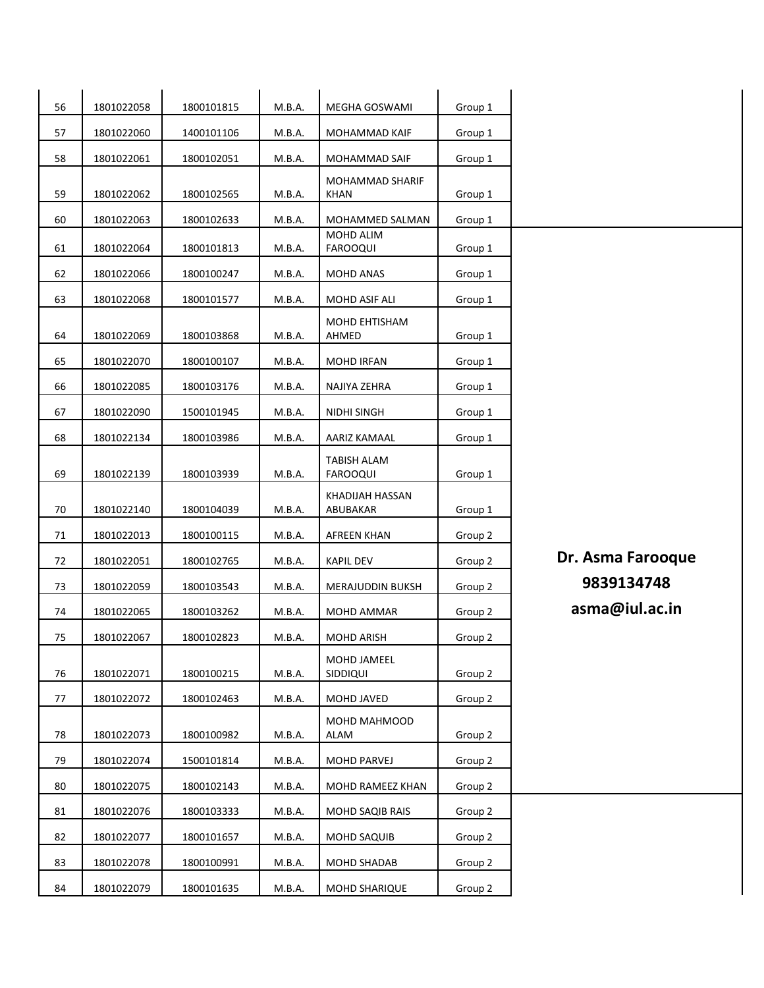| 56 | 1801022058 | 1800101815 | M.B.A. | MEGHA GOSWAMI                  | Group 1 |                   |
|----|------------|------------|--------|--------------------------------|---------|-------------------|
| 57 | 1801022060 | 1400101106 | M.B.A. | MOHAMMAD KAIF                  | Group 1 |                   |
| 58 | 1801022061 | 1800102051 | M.B.A. | MOHAMMAD SAIF                  | Group 1 |                   |
| 59 | 1801022062 | 1800102565 | M.B.A. | MOHAMMAD SHARIF<br>KHAN        | Group 1 |                   |
| 60 | 1801022063 | 1800102633 | M.B.A. | MOHAMMED SALMAN                | Group 1 |                   |
| 61 | 1801022064 | 1800101813 | M.B.A. | MOHD ALIM<br><b>FAROOQUI</b>   | Group 1 |                   |
| 62 | 1801022066 | 1800100247 | M.B.A. | <b>MOHD ANAS</b>               | Group 1 |                   |
| 63 | 1801022068 | 1800101577 | M.B.A. | MOHD ASIF ALI                  | Group 1 |                   |
| 64 | 1801022069 | 1800103868 | M.B.A. | MOHD EHTISHAM<br>AHMED         | Group 1 |                   |
| 65 | 1801022070 | 1800100107 | M.B.A. | <b>MOHD IRFAN</b>              | Group 1 |                   |
| 66 | 1801022085 | 1800103176 | M.B.A. | NAJIYA ZEHRA                   | Group 1 |                   |
| 67 | 1801022090 | 1500101945 | M.B.A. | NIDHI SINGH                    | Group 1 |                   |
| 68 | 1801022134 | 1800103986 | M.B.A. | AARIZ KAMAAL                   | Group 1 |                   |
| 69 | 1801022139 | 1800103939 | M.B.A. | TABISH ALAM<br><b>FAROOQUI</b> | Group 1 |                   |
| 70 | 1801022140 | 1800104039 | M.B.A. | KHADIJAH HASSAN<br>ABUBAKAR    | Group 1 |                   |
| 71 | 1801022013 | 1800100115 | M.B.A. | <b>AFREEN KHAN</b>             | Group 2 |                   |
| 72 | 1801022051 | 1800102765 | M.B.A. | <b>KAPIL DEV</b>               | Group 2 | Dr. Asma Farooque |
| 73 | 1801022059 | 1800103543 | M.B.A. | MERAJUDDIN BUKSH               | Group 2 | 9839134748        |
| 74 | 1801022065 | 1800103262 | M.B.A. | MOHD AMMAR                     | Group 2 | asma@iul.ac.in    |
| 75 | 1801022067 | 1800102823 | M.B.A. | MOHD ARISH                     | Group 2 |                   |
| 76 | 1801022071 | 1800100215 | M.B.A. | MOHD JAMEEL<br>SIDDIQUI        | Group 2 |                   |
| 77 | 1801022072 | 1800102463 | M.B.A. | MOHD JAVED                     | Group 2 |                   |
| 78 | 1801022073 | 1800100982 | M.B.A. | MOHD MAHMOOD<br>ALAM           | Group 2 |                   |
| 79 | 1801022074 | 1500101814 | M.B.A. | <b>MOHD PARVEJ</b>             | Group 2 |                   |
| 80 | 1801022075 | 1800102143 | M.B.A. | MOHD RAMEEZ KHAN               | Group 2 |                   |
| 81 | 1801022076 | 1800103333 | M.B.A. | MOHD SAQIB RAIS                | Group 2 |                   |
| 82 | 1801022077 | 1800101657 | M.B.A. | MOHD SAQUIB                    | Group 2 |                   |
| 83 | 1801022078 | 1800100991 | M.B.A. | MOHD SHADAB                    | Group 2 |                   |
| 84 | 1801022079 | 1800101635 | M.B.A. | MOHD SHARIQUE                  | Group 2 |                   |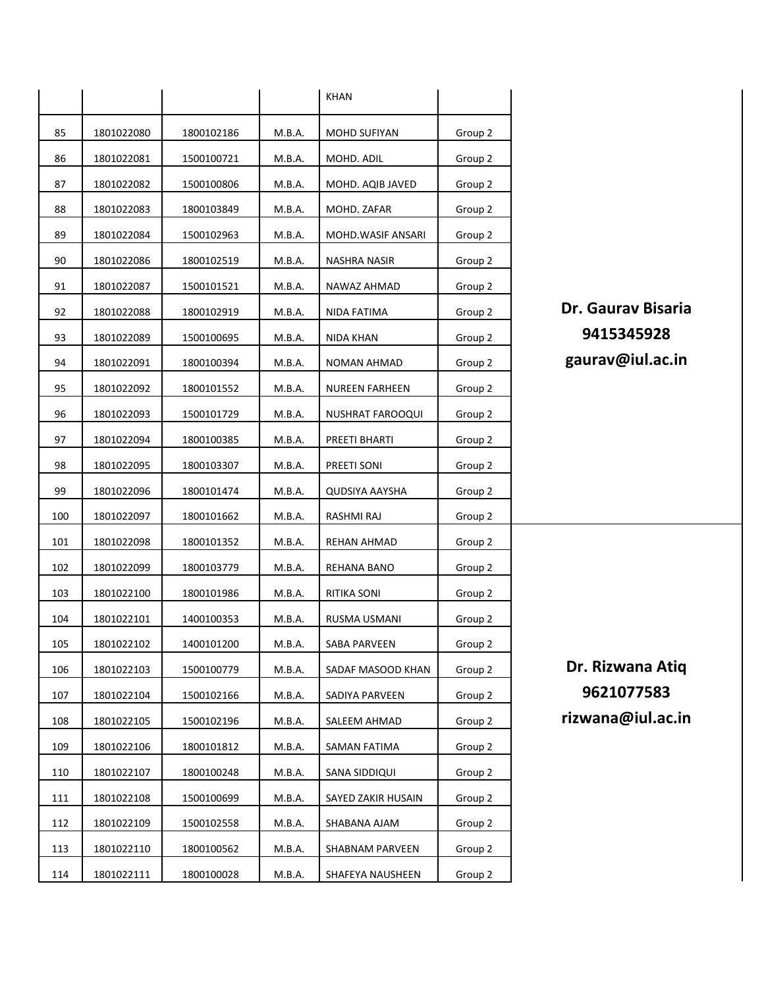|     |            |            |        | <b>KHAN</b>           |         |                           |
|-----|------------|------------|--------|-----------------------|---------|---------------------------|
| 85  | 1801022080 | 1800102186 | M.B.A. | MOHD SUFIYAN          | Group 2 |                           |
| 86  | 1801022081 | 1500100721 | M.B.A. | MOHD. ADIL            | Group 2 |                           |
| 87  | 1801022082 | 1500100806 | M.B.A. | MOHD. AQIB JAVED      | Group 2 |                           |
| 88  | 1801022083 | 1800103849 | M.B.A. | MOHD. ZAFAR           | Group 2 |                           |
| 89  | 1801022084 | 1500102963 | M.B.A. | MOHD.WASIF ANSARI     | Group 2 |                           |
| 90  | 1801022086 | 1800102519 | M.B.A. | NASHRA NASIR          | Group 2 |                           |
| 91  | 1801022087 | 1500101521 | M.B.A. | NAWAZ AHMAD           | Group 2 |                           |
| 92  | 1801022088 | 1800102919 | M.B.A. | NIDA FATIMA           | Group 2 | <b>Dr. Gaurav Bisaria</b> |
| 93  | 1801022089 | 1500100695 | M.B.A. | NIDA KHAN             | Group 2 | 9415345928                |
| 94  | 1801022091 | 1800100394 | M.B.A. | NOMAN AHMAD           | Group 2 | gaurav@iul.ac.in          |
| 95  | 1801022092 | 1800101552 | M.B.A. | <b>NUREEN FARHEEN</b> | Group 2 |                           |
| 96  | 1801022093 | 1500101729 | M.B.A. | NUSHRAT FAROOQUI      | Group 2 |                           |
| 97  | 1801022094 | 1800100385 | M.B.A. | PREETI BHARTI         | Group 2 |                           |
| 98  | 1801022095 | 1800103307 | M.B.A. | PREETI SONI           | Group 2 |                           |
| 99  | 1801022096 | 1800101474 | M.B.A. | QUDSIYA AAYSHA        | Group 2 |                           |
| 100 | 1801022097 | 1800101662 | M.B.A. | RASHMI RAJ            | Group 2 |                           |
| 101 | 1801022098 | 1800101352 | M.B.A. | REHAN AHMAD           | Group 2 |                           |
| 102 | 1801022099 | 1800103779 | M.B.A. | REHANA BANO           | Group 2 |                           |
| 103 | 1801022100 | 1800101986 | M.B.A. | RITIKA SONI           | Group 2 |                           |
| 104 | 1801022101 | 1400100353 | M.B.A. | RUSMA USMANI          | Group 2 |                           |
| 105 | 1801022102 | 1400101200 | M.B.A. | SABA PARVEEN          | Group 2 |                           |
| 106 | 1801022103 | 1500100779 | M.B.A. | SADAF MASOOD KHAN     | Group 2 | Dr. Rizwana Atiq          |
| 107 | 1801022104 | 1500102166 | M.B.A. | SADIYA PARVEEN        | Group 2 | 9621077583                |
| 108 | 1801022105 | 1500102196 | M.B.A. | SALEEM AHMAD          | Group 2 | rizwana@iul.ac.in         |
| 109 | 1801022106 | 1800101812 | M.B.A. | SAMAN FATIMA          | Group 2 |                           |
| 110 | 1801022107 | 1800100248 | M.B.A. | SANA SIDDIQUI         | Group 2 |                           |
| 111 | 1801022108 | 1500100699 | M.B.A. | SAYED ZAKIR HUSAIN    | Group 2 |                           |
| 112 | 1801022109 | 1500102558 | M.B.A. | SHABANA AJAM          | Group 2 |                           |
| 113 | 1801022110 | 1800100562 | M.B.A. | SHABNAM PARVEEN       | Group 2 |                           |
| 114 | 1801022111 | 1800100028 | M.B.A. | SHAFEYA NAUSHEEN      | Group 2 |                           |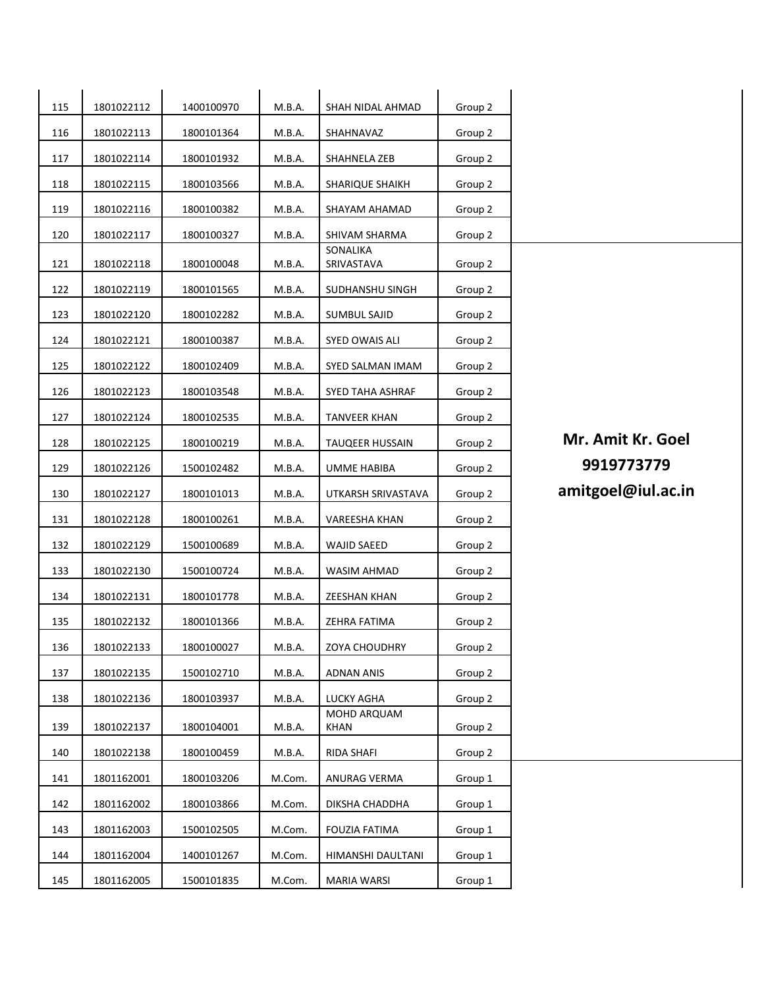| 115 | 1801022112 | 1400100970 | M.B.A. | SHAH NIDAL AHMAD       | Group 2 |                    |
|-----|------------|------------|--------|------------------------|---------|--------------------|
| 116 | 1801022113 | 1800101364 | M.B.A. | SHAHNAVAZ              | Group 2 |                    |
| 117 | 1801022114 | 1800101932 | M.B.A. | SHAHNELA ZEB           | Group 2 |                    |
| 118 | 1801022115 | 1800103566 | M.B.A. | SHARIQUE SHAIKH        | Group 2 |                    |
| 119 | 1801022116 | 1800100382 | M.B.A. | SHAYAM AHAMAD          | Group 2 |                    |
| 120 | 1801022117 | 1800100327 | M.B.A. | SHIVAM SHARMA          | Group 2 |                    |
| 121 | 1801022118 | 1800100048 | M.B.A. | SONALIKA<br>SRIVASTAVA | Group 2 |                    |
| 122 | 1801022119 | 1800101565 | M.B.A. | SUDHANSHU SINGH        | Group 2 |                    |
| 123 | 1801022120 | 1800102282 | M.B.A. | <b>SUMBUL SAJID</b>    | Group 2 |                    |
| 124 | 1801022121 | 1800100387 | M.B.A. | SYED OWAIS ALI         | Group 2 |                    |
| 125 | 1801022122 | 1800102409 | M.B.A. | SYED SALMAN IMAM       | Group 2 |                    |
| 126 | 1801022123 | 1800103548 | M.B.A. | SYED TAHA ASHRAF       | Group 2 |                    |
| 127 | 1801022124 | 1800102535 | M.B.A. | <b>TANVEER KHAN</b>    | Group 2 |                    |
| 128 | 1801022125 | 1800100219 | M.B.A. | <b>TAUQEER HUSSAIN</b> | Group 2 | Mr. Amit Kr. Goel  |
| 129 | 1801022126 | 1500102482 | M.B.A. | <b>UMME HABIBA</b>     | Group 2 | 9919773779         |
| 130 | 1801022127 | 1800101013 | M.B.A. | UTKARSH SRIVASTAVA     | Group 2 | amitgoel@iul.ac.in |
| 131 | 1801022128 | 1800100261 | M.B.A. | VAREESHA KHAN          | Group 2 |                    |
| 132 | 1801022129 | 1500100689 | M.B.A. | <b>WAJID SAEED</b>     | Group 2 |                    |
| 133 | 1801022130 | 1500100724 | M.B.A. | WASIM AHMAD            | Group 2 |                    |
| 134 | 1801022131 | 1800101778 | M.B.A. | <b>ZEESHAN KHAN</b>    | Group 2 |                    |
| 135 | 1801022132 | 1800101366 | M.B.A. | ZEHRA FATIMA           | Group 2 |                    |
| 136 | 1801022133 | 1800100027 | M.B.A. | ZOYA CHOUDHRY          | Group 2 |                    |
| 137 | 1801022135 | 1500102710 | M.B.A. | <b>ADNAN ANIS</b>      | Group 2 |                    |
| 138 | 1801022136 | 1800103937 | M.B.A. | LUCKY AGHA             | Group 2 |                    |
| 139 | 1801022137 | 1800104001 | M.B.A. | MOHD ARQUAM<br>KHAN    | Group 2 |                    |
| 140 | 1801022138 | 1800100459 | M.B.A. | RIDA SHAFI             | Group 2 |                    |
| 141 | 1801162001 | 1800103206 | M.Com. | ANURAG VERMA           | Group 1 |                    |
| 142 | 1801162002 | 1800103866 | M.Com. | DIKSHA CHADDHA         | Group 1 |                    |
| 143 | 1801162003 | 1500102505 | M.Com. | FOUZIA FATIMA          | Group 1 |                    |
| 144 | 1801162004 | 1400101267 | M.Com. | HIMANSHI DAULTANI      | Group 1 |                    |
| 145 | 1801162005 | 1500101835 | M.Com. | <b>MARIA WARSI</b>     | Group 1 |                    |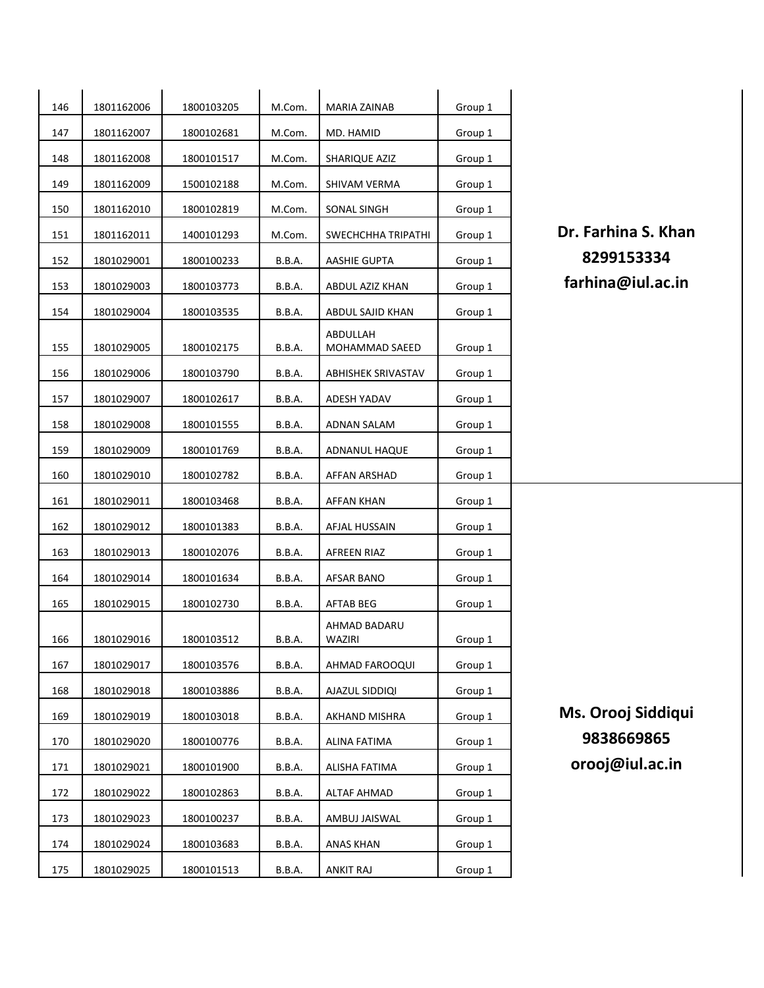| 146 | 1801162006 | 1800103205 | M.Com.        | MARIA ZAINAB               | Group 1 |
|-----|------------|------------|---------------|----------------------------|---------|
| 147 | 1801162007 | 1800102681 | M.Com.        | MD. HAMID                  | Group 1 |
| 148 | 1801162008 | 1800101517 | M.Com.        | SHARIQUE AZIZ              | Group 1 |
| 149 | 1801162009 | 1500102188 | M.Com.        | SHIVAM VERMA               | Group 1 |
| 150 | 1801162010 | 1800102819 | M.Com.        | SONAL SINGH                | Group 1 |
| 151 | 1801162011 | 1400101293 | M.Com.        | SWECHCHHA TRIPATHI         | Group 1 |
| 152 | 1801029001 | 1800100233 | B.B.A.        | AASHIE GUPTA               | Group 1 |
| 153 | 1801029003 | 1800103773 | <b>B.B.A.</b> | ABDUL AZIZ KHAN            | Group 1 |
| 154 | 1801029004 | 1800103535 | <b>B.B.A.</b> | ABDUL SAJID KHAN           | Group 1 |
| 155 | 1801029005 | 1800102175 | B.B.A.        | ABDULLAH<br>MOHAMMAD SAEED | Group 1 |
| 156 | 1801029006 | 1800103790 | B.B.A.        | ABHISHEK SRIVASTAV         | Group 1 |
| 157 | 1801029007 | 1800102617 | <b>B.B.A.</b> | ADESH YADAV                | Group 1 |
| 158 | 1801029008 | 1800101555 | <b>B.B.A.</b> | ADNAN SALAM                | Group 1 |
| 159 | 1801029009 | 1800101769 | B.B.A.        | ADNANUL HAQUE              | Group 1 |
| 160 | 1801029010 | 1800102782 | B.B.A.        | AFFAN ARSHAD               | Group 1 |
| 161 | 1801029011 | 1800103468 | B.B.A.        | AFFAN KHAN                 | Group 1 |
| 162 | 1801029012 | 1800101383 | B.B.A.        | AFJAL HUSSAIN              | Group 1 |
| 163 | 1801029013 | 1800102076 | <b>B.B.A.</b> | AFREEN RIAZ                | Group 1 |
| 164 | 1801029014 | 1800101634 | <b>B.B.A.</b> | AFSAR BANO                 | Group 1 |
| 165 | 1801029015 | 1800102730 | <b>B.B.A.</b> | AFTAB BEG                  | Group 1 |
| 166 | 1801029016 | 1800103512 | B.B.A.        | AHMAD BADARU<br>WAZIRI     | Group 1 |
| 167 | 1801029017 | 1800103576 | B.B.A.        | AHMAD FAROOQUI             | Group 1 |
| 168 | 1801029018 | 1800103886 | B.B.A.        | AJAZUL SIDDIQI             | Group 1 |
| 169 | 1801029019 | 1800103018 | <b>B.B.A.</b> | AKHAND MISHRA              | Group 1 |
| 170 | 1801029020 | 1800100776 | <b>B.B.A.</b> | ALINA FATIMA               | Group 1 |
| 171 | 1801029021 | 1800101900 | <b>B.B.A.</b> | ALISHA FATIMA              | Group 1 |
| 172 | 1801029022 | 1800102863 | B.B.A.        | <b>ALTAF AHMAD</b>         | Group 1 |
| 173 | 1801029023 | 1800100237 | <b>B.B.A.</b> | AMBUJ JAISWAL              | Group 1 |
| 174 | 1801029024 | 1800103683 | B.B.A.        | <b>ANAS KHAN</b>           | Group 1 |
| 175 | 1801029025 | 1800101513 | <b>B.B.A.</b> | <b>ANKIT RAJ</b>           | Group 1 |

Dr. Farhina S. Khan <sup>1801029001</sup> <sup>1800100233</sup> B.B.A. AASHIE GUPTA Group 1 **8299153334** farhina@iul.ac.in

**Ms. Orooj Siddiqui**  <sup>1801029020</sup> <sup>1800100776</sup> B.B.A. ALINA FATIMA Group 1 **9838669865** orooj@iul.ac.in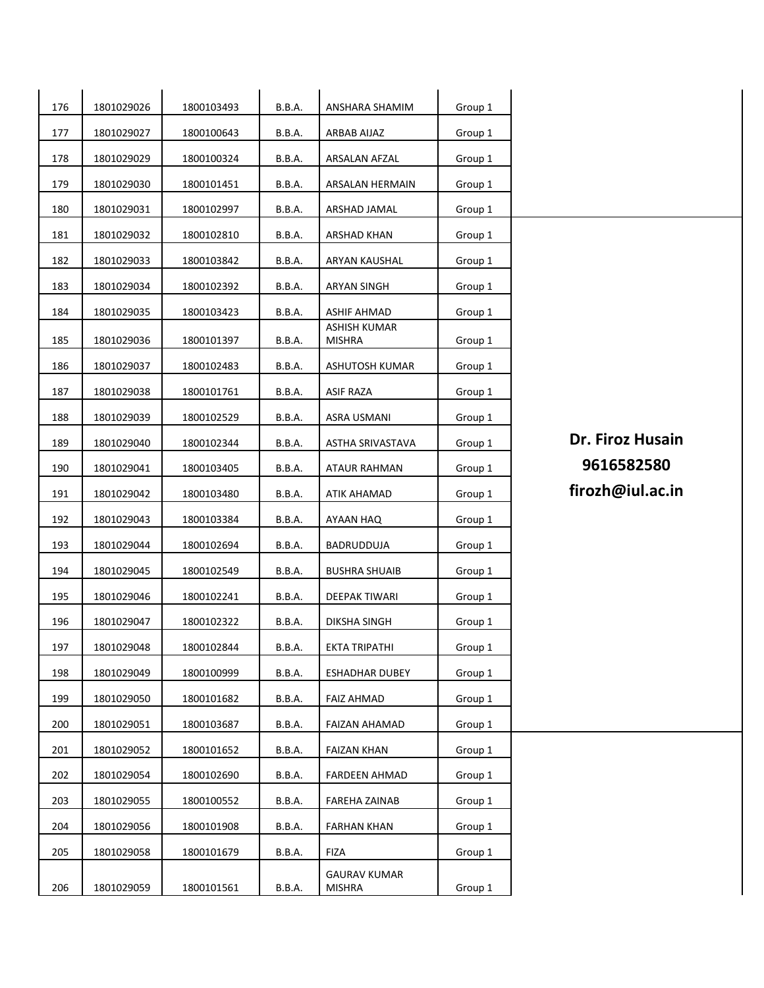| 176 | 1801029026 | 1800103493 | B.B.A.        | ANSHARA SHAMIM                       | Group 1 |                  |
|-----|------------|------------|---------------|--------------------------------------|---------|------------------|
| 177 | 1801029027 | 1800100643 | B.B.A.        | ARBAB AIJAZ                          | Group 1 |                  |
| 178 | 1801029029 | 1800100324 | <b>B.B.A.</b> | ARSALAN AFZAL                        | Group 1 |                  |
| 179 | 1801029030 | 1800101451 | B.B.A.        | ARSALAN HERMAIN                      | Group 1 |                  |
| 180 | 1801029031 | 1800102997 | <b>B.B.A.</b> | ARSHAD JAMAL                         | Group 1 |                  |
| 181 | 1801029032 | 1800102810 | <b>B.B.A.</b> | ARSHAD KHAN                          | Group 1 |                  |
| 182 | 1801029033 | 1800103842 | B.B.A.        | ARYAN KAUSHAL                        | Group 1 |                  |
| 183 | 1801029034 | 1800102392 | B.B.A.        | <b>ARYAN SINGH</b>                   | Group 1 |                  |
| 184 | 1801029035 | 1800103423 | <b>B.B.A.</b> | <b>ASHIF AHMAD</b>                   | Group 1 |                  |
| 185 | 1801029036 | 1800101397 | <b>B.B.A.</b> | <b>ASHISH KUMAR</b><br><b>MISHRA</b> | Group 1 |                  |
|     |            |            |               |                                      |         |                  |
| 186 | 1801029037 | 1800102483 | B.B.A.        | ASHUTOSH KUMAR                       | Group 1 |                  |
| 187 | 1801029038 | 1800101761 | <b>B.B.A.</b> | <b>ASIF RAZA</b>                     | Group 1 |                  |
| 188 | 1801029039 | 1800102529 | <b>B.B.A.</b> | ASRA USMANI                          | Group 1 |                  |
| 189 | 1801029040 | 1800102344 | <b>B.B.A.</b> | ASTHA SRIVASTAVA                     | Group 1 | Dr. Firoz Husain |
| 190 | 1801029041 | 1800103405 | B.B.A.        | <b>ATAUR RAHMAN</b>                  | Group 1 | 9616582580       |
| 191 | 1801029042 | 1800103480 | <b>B.B.A.</b> | <b>ATIK AHAMAD</b>                   | Group 1 | firozh@iul.ac.in |
| 192 | 1801029043 | 1800103384 | <b>B.B.A.</b> | AYAAN HAQ                            | Group 1 |                  |
| 193 | 1801029044 | 1800102694 | <b>B.B.A.</b> | BADRUDDUJA                           | Group 1 |                  |
| 194 | 1801029045 | 1800102549 | B.B.A.        | <b>BUSHRA SHUAIB</b>                 | Group 1 |                  |
| 195 | 1801029046 | 1800102241 | <b>B.B.A.</b> | DEEPAK TIWARI                        | Group 1 |                  |
| 196 | 1801029047 | 1800102322 | <b>B.B.A.</b> | <b>DIKSHA SINGH</b>                  | Group 1 |                  |
| 197 | 1801029048 | 1800102844 | B.B.A.        | EKTA TRIPATHI                        | Group 1 |                  |
| 198 | 1801029049 | 1800100999 | B.B.A.        | <b>ESHADHAR DUBEY</b>                | Group 1 |                  |
| 199 | 1801029050 | 1800101682 | B.B.A.        | <b>FAIZ AHMAD</b>                    | Group 1 |                  |
| 200 | 1801029051 | 1800103687 | <b>B.B.A.</b> | FAIZAN AHAMAD                        | Group 1 |                  |
| 201 | 1801029052 | 1800101652 | <b>B.B.A.</b> | <b>FAIZAN KHAN</b>                   | Group 1 |                  |
| 202 | 1801029054 | 1800102690 | <b>B.B.A.</b> | <b>FARDEEN AHMAD</b>                 | Group 1 |                  |
| 203 | 1801029055 | 1800100552 | B.B.A.        | FAREHA ZAINAB                        | Group 1 |                  |
| 204 | 1801029056 | 1800101908 | B.B.A.        | <b>FARHAN KHAN</b>                   | Group 1 |                  |
| 205 | 1801029058 | 1800101679 | <b>B.B.A.</b> | <b>FIZA</b>                          | Group 1 |                  |
| 206 | 1801029059 | 1800101561 | <b>B.B.A.</b> | <b>GAURAV KUMAR</b><br>MISHRA        | Group 1 |                  |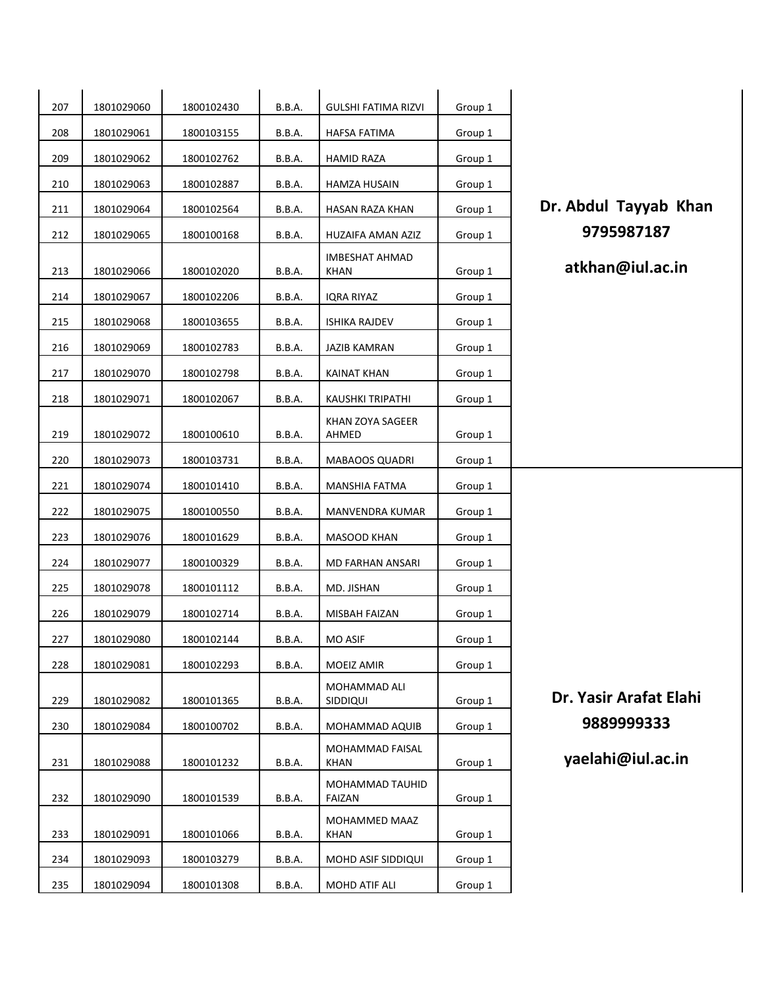| 207 | 1801029060 | 1800102430 | B.B.A.        | <b>GULSHI FATIMA RIZVI</b>               | Group 1 |                        |
|-----|------------|------------|---------------|------------------------------------------|---------|------------------------|
| 208 | 1801029061 | 1800103155 | <b>B.B.A.</b> | HAFSA FATIMA                             | Group 1 |                        |
| 209 | 1801029062 | 1800102762 | <b>B.B.A.</b> | HAMID RAZA                               | Group 1 |                        |
| 210 | 1801029063 | 1800102887 | B.B.A.        | HAMZA HUSAIN                             | Group 1 |                        |
| 211 | 1801029064 | 1800102564 | B.B.A.        | HASAN RAZA KHAN                          | Group 1 | Dr. Abdul Tayyab Khan  |
| 212 | 1801029065 | 1800100168 | <b>B.B.A.</b> | HUZAIFA AMAN AZIZ                        | Group 1 | 9795987187             |
| 213 | 1801029066 | 1800102020 | B.B.A.        | <b>IMBESHAT AHMAD</b><br>KHAN            | Group 1 | atkhan@iul.ac.in       |
| 214 | 1801029067 | 1800102206 | <b>B.B.A.</b> | IQRA RIYAZ                               | Group 1 |                        |
| 215 | 1801029068 | 1800103655 | B.B.A.        | <b>ISHIKA RAJDEV</b>                     | Group 1 |                        |
| 216 | 1801029069 | 1800102783 | B.B.A.        | <b>JAZIB KAMRAN</b>                      | Group 1 |                        |
| 217 | 1801029070 | 1800102798 | B.B.A.        | <b>KAINAT KHAN</b>                       | Group 1 |                        |
| 218 | 1801029071 | 1800102067 | <b>B.B.A.</b> | <b>KAUSHKI TRIPATHI</b>                  | Group 1 |                        |
|     |            |            |               | KHAN ZOYA SAGEER                         |         |                        |
| 219 | 1801029072 | 1800100610 | B.B.A.        | AHMED                                    | Group 1 |                        |
| 220 | 1801029073 | 1800103731 | B.B.A.        | <b>MABAOOS QUADRI</b>                    | Group 1 |                        |
| 221 | 1801029074 | 1800101410 | B.B.A.        | MANSHIA FATMA                            | Group 1 |                        |
| 222 | 1801029075 | 1800100550 | B.B.A.        | MANVENDRA KUMAR                          | Group 1 |                        |
| 223 | 1801029076 | 1800101629 | <b>B.B.A.</b> | MASOOD KHAN                              | Group 1 |                        |
| 224 | 1801029077 | 1800100329 | <b>B.B.A.</b> | MD FARHAN ANSARI                         | Group 1 |                        |
| 225 | 1801029078 | 1800101112 | B.B.A.        | MD. JISHAN                               | Group 1 |                        |
| 226 | 1801029079 | 1800102714 | B.B.A.        | MISBAH FAIZAN                            | Group 1 |                        |
| 227 | 1801029080 | 1800102144 | B.B.A.        | <b>MO ASIF</b>                           | Group 1 |                        |
| 228 | 1801029081 | 1800102293 | B.B.A.        | MOEIZ AMIR                               | Group 1 |                        |
|     |            |            |               | MOHAMMAD ALI                             |         | Dr. Yasir Arafat Elahi |
| 229 | 1801029082 | 1800101365 | <b>B.B.A.</b> | SIDDIQUI                                 | Group 1 | 9889999333             |
| 230 | 1801029084 | 1800100702 | B.B.A.        | MOHAMMAD AQUIB<br><b>MOHAMMAD FAISAL</b> | Group 1 |                        |
| 231 | 1801029088 | 1800101232 | B.B.A.        | KHAN                                     | Group 1 | yaelahi@iul.ac.in      |
| 232 | 1801029090 | 1800101539 | B.B.A.        | MOHAMMAD TAUHID<br><b>FAIZAN</b>         | Group 1 |                        |
| 233 | 1801029091 | 1800101066 | B.B.A.        | MOHAMMED MAAZ<br>KHAN                    | Group 1 |                        |
| 234 | 1801029093 | 1800103279 | <b>B.B.A.</b> | MOHD ASIF SIDDIQUI                       | Group 1 |                        |
| 235 | 1801029094 | 1800101308 | <b>B.B.A.</b> | MOHD ATIF ALI                            | Group 1 |                        |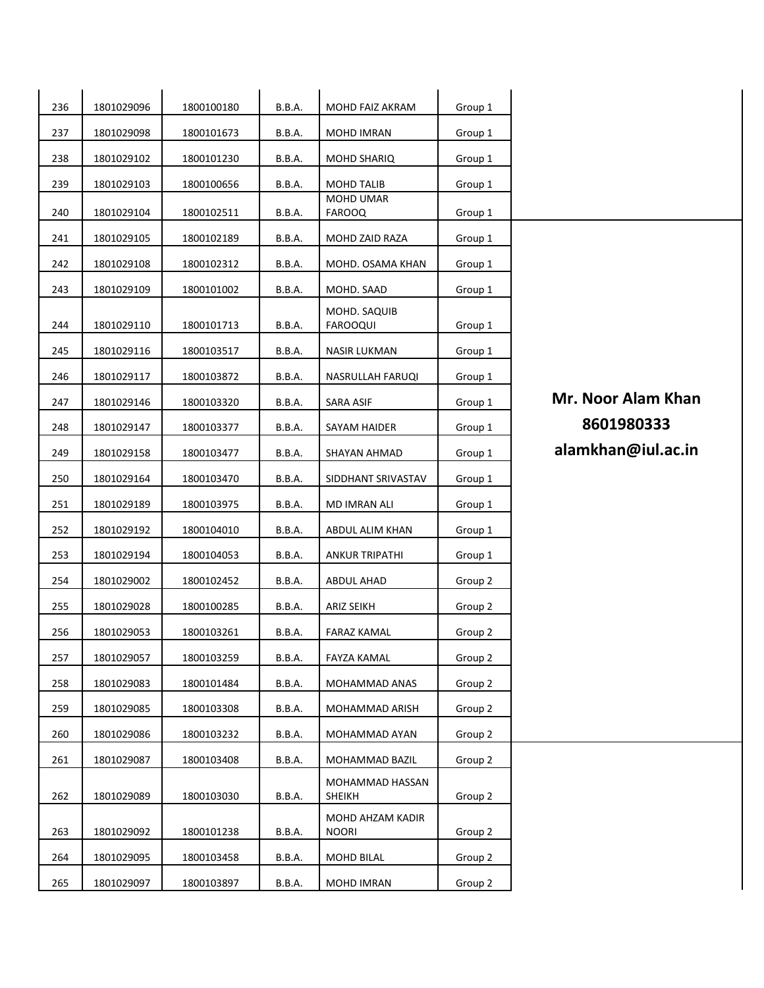| 236 | 1801029096<br>1800100180 |            | B.B.A.        | MOHD FAIZ AKRAM                  | Group 1 |                    |
|-----|--------------------------|------------|---------------|----------------------------------|---------|--------------------|
| 237 | 1801029098               | 1800101673 | <b>B.B.A.</b> | <b>MOHD IMRAN</b>                | Group 1 |                    |
| 238 | 1801029102               | 1800101230 | B.B.A.        | <b>MOHD SHARIQ</b>               | Group 1 |                    |
| 239 | 1801029103               | 1800100656 | B.B.A.        | <b>MOHD TALIB</b>                | Group 1 |                    |
| 240 | 1801029104               | 1800102511 | <b>B.B.A.</b> | MOHD UMAR<br><b>FAROOQ</b>       | Group 1 |                    |
| 241 | 1801029105               | 1800102189 | B.B.A.        | MOHD ZAID RAZA                   | Group 1 |                    |
| 242 | 1801029108               | 1800102312 | B.B.A.        | MOHD. OSAMA KHAN                 | Group 1 |                    |
| 243 | 1801029109               | 1800101002 | B.B.A.        | MOHD. SAAD                       | Group 1 |                    |
|     |                          |            |               | MOHD. SAQUIB                     |         |                    |
| 244 | 1801029110               | 1800101713 | B.B.A.        | <b>FAROOQUI</b>                  | Group 1 |                    |
| 245 | 1801029116               | 1800103517 | B.B.A.        | <b>NASIR LUKMAN</b>              | Group 1 |                    |
| 246 | 1801029117               | 1800103872 | B.B.A.        | NASRULLAH FARUQI                 | Group 1 |                    |
| 247 | 1801029146               | 1800103320 | B.B.A.        | SARA ASIF                        | Group 1 | Mr. Noor Alam Khan |
| 248 | 1801029147               | 1800103377 | <b>B.B.A.</b> | SAYAM HAIDER                     | Group 1 | 8601980333         |
| 249 | 1801029158               | 1800103477 | B.B.A.        | SHAYAN AHMAD                     | Group 1 | alamkhan@iul.ac.in |
| 250 | 1801029164               | 1800103470 | B.B.A.        | SIDDHANT SRIVASTAV               | Group 1 |                    |
| 251 | 1801029189               | 1800103975 | B.B.A.        | MD IMRAN ALI                     | Group 1 |                    |
| 252 | 1801029192               | 1800104010 | <b>B.B.A.</b> | ABDUL ALIM KHAN                  | Group 1 |                    |
| 253 | 1801029194               | 1800104053 | B.B.A.        | <b>ANKUR TRIPATHI</b>            | Group 1 |                    |
| 254 | 1801029002               | 1800102452 | B.B.A.        | ABDUL AHAD                       | Group 2 |                    |
| 255 | 1801029028               | 1800100285 | <b>B.B.A.</b> | <b>ARIZ SEIKH</b>                | Group 2 |                    |
| 256 | 1801029053               | 1800103261 | <b>B.B.A.</b> | <b>FARAZ KAMAL</b>               | Group 2 |                    |
| 257 | 1801029057               | 1800103259 | B.B.A.        | <b>FAYZA KAMAL</b>               | Group 2 |                    |
| 258 | 1801029083               | 1800101484 | <b>B.B.A.</b> | MOHAMMAD ANAS                    | Group 2 |                    |
| 259 | 1801029085               | 1800103308 | <b>B.B.A.</b> | MOHAMMAD ARISH                   | Group 2 |                    |
| 260 | 1801029086               | 1800103232 | <b>B.B.A.</b> | MOHAMMAD AYAN                    | Group 2 |                    |
| 261 | 1801029087               | 1800103408 | <b>B.B.A.</b> | MOHAMMAD BAZIL                   | Group 2 |                    |
|     |                          |            |               | MOHAMMAD HASSAN                  |         |                    |
| 262 | 1801029089               | 1800103030 | <b>B.B.A.</b> | SHEIKH                           | Group 2 |                    |
| 263 | 1801029092               | 1800101238 | <b>B.B.A.</b> | MOHD AHZAM KADIR<br><b>NOORI</b> | Group 2 |                    |
| 264 | 1801029095               | 1800103458 | <b>B.B.A.</b> | <b>MOHD BILAL</b>                | Group 2 |                    |
| 265 | 1801029097               | 1800103897 | B.B.A.        | MOHD IMRAN                       | Group 2 |                    |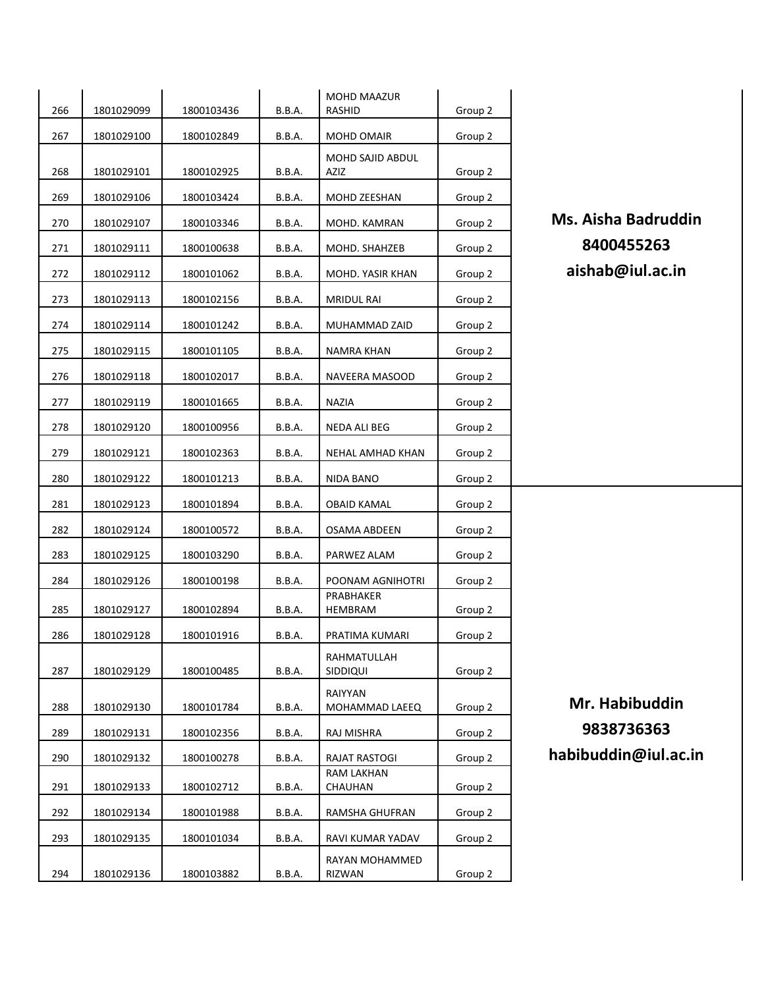| 266 | 1801029099 | 1800103436 | B.B.A.        | <b>MOHD MAAZUR</b><br>RASHID | Group 2 |                            |
|-----|------------|------------|---------------|------------------------------|---------|----------------------------|
| 267 | 1801029100 | 1800102849 | <b>B.B.A.</b> | MOHD OMAIR                   | Group 2 |                            |
| 268 | 1801029101 | 1800102925 | B.B.A.        | MOHD SAJID ABDUL<br>AZIZ     | Group 2 |                            |
| 269 | 1801029106 | 1800103424 | <b>B.B.A.</b> | MOHD ZEESHAN                 | Group 2 |                            |
| 270 | 1801029107 | 1800103346 | <b>B.B.A.</b> | MOHD. KAMRAN                 | Group 2 | <b>Ms. Aisha Badruddin</b> |
| 271 | 1801029111 | 1800100638 | <b>B.B.A.</b> | MOHD. SHAHZEB                | Group 2 | 8400455263                 |
| 272 | 1801029112 | 1800101062 | B.B.A.        | MOHD. YASIR KHAN             | Group 2 | aishab@iul.ac.in           |
| 273 | 1801029113 | 1800102156 | <b>B.B.A.</b> | <b>MRIDUL RAI</b>            | Group 2 |                            |
| 274 | 1801029114 | 1800101242 | <b>B.B.A.</b> | MUHAMMAD ZAID                | Group 2 |                            |
| 275 | 1801029115 | 1800101105 | <b>B.B.A.</b> | NAMRA KHAN                   | Group 2 |                            |
| 276 | 1801029118 | 1800102017 | B.B.A.        | NAVEERA MASOOD               | Group 2 |                            |
| 277 | 1801029119 | 1800101665 | <b>B.B.A.</b> | NAZIA                        | Group 2 |                            |
| 278 | 1801029120 | 1800100956 | <b>B.B.A.</b> | NEDA ALI BEG                 | Group 2 |                            |
| 279 | 1801029121 | 1800102363 | <b>B.B.A.</b> | NEHAL AMHAD KHAN             | Group 2 |                            |
| 280 | 1801029122 | 1800101213 | <b>B.B.A.</b> | NIDA BANO                    | Group 2 |                            |
| 281 | 1801029123 | 1800101894 | <b>B.B.A.</b> | <b>OBAID KAMAL</b>           | Group 2 |                            |
| 282 | 1801029124 | 1800100572 | <b>B.B.A.</b> | OSAMA ABDEEN                 | Group 2 |                            |
| 283 | 1801029125 | 1800103290 | B.B.A.        | PARWEZ ALAM                  | Group 2 |                            |
| 284 | 1801029126 | 1800100198 | B.B.A.        | POONAM AGNIHOTRI             | Group 2 |                            |
| 285 | 1801029127 | 1800102894 | <b>B.B.A.</b> | PRABHAKER<br>HEMBRAM         | Group 2 |                            |
| 286 | 1801029128 | 1800101916 | <b>B.B.A.</b> | PRATIMA KUMARI               | Group 2 |                            |
| 287 | 1801029129 | 1800100485 | B.B.A.        | RAHMATULLAH<br>SIDDIQUI      | Group 2 |                            |
|     |            |            |               | RAIYYAN                      |         | Mr. Habibuddin             |
| 288 | 1801029130 | 1800101784 | <b>B.B.A.</b> | MOHAMMAD LAEEQ               | Group 2 | 9838736363                 |
| 289 | 1801029131 | 1800102356 | <b>B.B.A.</b> | RAJ MISHRA                   | Group 2 |                            |
| 290 | 1801029132 | 1800100278 | B.B.A.        | RAJAT RASTOGI<br>RAM LAKHAN  | Group 2 | habibuddin@iul.ac.in       |
| 291 | 1801029133 | 1800102712 | B.B.A.        | CHAUHAN                      | Group 2 |                            |
| 292 | 1801029134 | 1800101988 | <b>B.B.A.</b> | RAMSHA GHUFRAN               | Group 2 |                            |
| 293 | 1801029135 | 1800101034 | <b>B.B.A.</b> | RAVI KUMAR YADAV             | Group 2 |                            |
| 294 | 1801029136 | 1800103882 | B.B.A.        | RAYAN MOHAMMED<br>RIZWAN     | Group 2 |                            |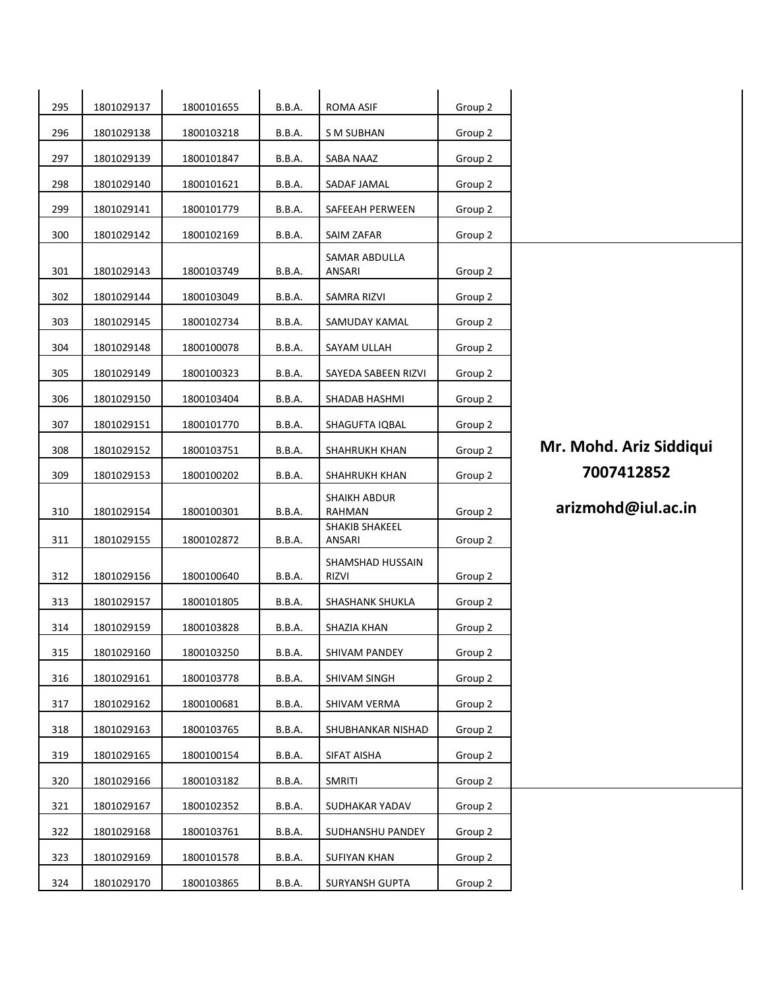| 295 | 1801029137 | 1800101655 | <b>B.B.A.</b> | <b>ROMA ASIF</b>                 | Group 2 |                         |
|-----|------------|------------|---------------|----------------------------------|---------|-------------------------|
| 296 | 1801029138 | 1800103218 | B.B.A.        | S M SUBHAN                       | Group 2 |                         |
| 297 | 1801029139 | 1800101847 | <b>B.B.A.</b> | SABA NAAZ                        | Group 2 |                         |
| 298 | 1801029140 | 1800101621 | <b>B.B.A.</b> | SADAF JAMAL                      | Group 2 |                         |
| 299 | 1801029141 | 1800101779 | <b>B.B.A.</b> | SAFEEAH PERWEEN                  | Group 2 |                         |
| 300 | 1801029142 | 1800102169 | <b>B.B.A.</b> | SAIM ZAFAR                       | Group 2 |                         |
| 301 | 1801029143 | 1800103749 | <b>B.B.A.</b> | SAMAR ABDULLA<br>ANSARI          | Group 2 |                         |
| 302 | 1801029144 | 1800103049 | <b>B.B.A.</b> | SAMRA RIZVI                      | Group 2 |                         |
| 303 | 1801029145 | 1800102734 | <b>B.B.A.</b> | SAMUDAY KAMAL                    | Group 2 |                         |
| 304 | 1801029148 | 1800100078 | <b>B.B.A.</b> | SAYAM ULLAH                      | Group 2 |                         |
| 305 | 1801029149 | 1800100323 | B.B.A.        | SAYEDA SABEEN RIZVI              | Group 2 |                         |
| 306 | 1801029150 | 1800103404 | <b>B.B.A.</b> | SHADAB HASHMI                    | Group 2 |                         |
| 307 | 1801029151 | 1800101770 | B.B.A.        | SHAGUFTA IQBAL                   | Group 2 |                         |
| 308 | 1801029152 | 1800103751 | <b>B.B.A.</b> | SHAHRUKH KHAN                    | Group 2 | Mr. Mohd. Ariz Siddiqui |
| 309 | 1801029153 | 1800100202 | <b>B.B.A.</b> | SHAHRUKH KHAN                    | Group 2 | 7007412852              |
| 310 | 1801029154 | 1800100301 | <b>B.B.A.</b> | SHAIKH ABDUR<br>RAHMAN           | Group 2 | arizmohd@iul.ac.in      |
| 311 | 1801029155 | 1800102872 | <b>B.B.A.</b> | SHAKIB SHAKEEL<br>ANSARI         | Group 2 |                         |
| 312 | 1801029156 | 1800100640 | <b>B.B.A.</b> | SHAMSHAD HUSSAIN<br><b>RIZVI</b> | Group 2 |                         |
| 313 | 1801029157 | 1800101805 | <b>B.B.A.</b> | SHASHANK SHUKLA                  | Group 2 |                         |
| 314 | 1801029159 | 1800103828 | <b>B.B.A.</b> | SHAZIA KHAN                      | Group 2 |                         |
| 315 | 1801029160 | 1800103250 | B.B.A.        | SHIVAM PANDEY                    | Group 2 |                         |
| 316 | 1801029161 | 1800103778 | <b>B.B.A.</b> | SHIVAM SINGH                     | Group 2 |                         |
| 317 | 1801029162 | 1800100681 | <b>B.B.A.</b> | SHIVAM VERMA                     | Group 2 |                         |
| 318 | 1801029163 | 1800103765 | <b>B.B.A.</b> | SHUBHANKAR NISHAD                | Group 2 |                         |
| 319 | 1801029165 | 1800100154 | B.B.A.        | SIFAT AISHA                      | Group 2 |                         |
| 320 | 1801029166 | 1800103182 | <b>B.B.A.</b> | <b>SMRITI</b>                    | Group 2 |                         |
| 321 | 1801029167 | 1800102352 | B.B.A.        | SUDHAKAR YADAV                   | Group 2 |                         |
| 322 | 1801029168 | 1800103761 | <b>B.B.A.</b> | SUDHANSHU PANDEY                 | Group 2 |                         |
| 323 |            |            |               |                                  |         |                         |
|     | 1801029169 | 1800101578 | <b>B.B.A.</b> | SUFIYAN KHAN                     | Group 2 |                         |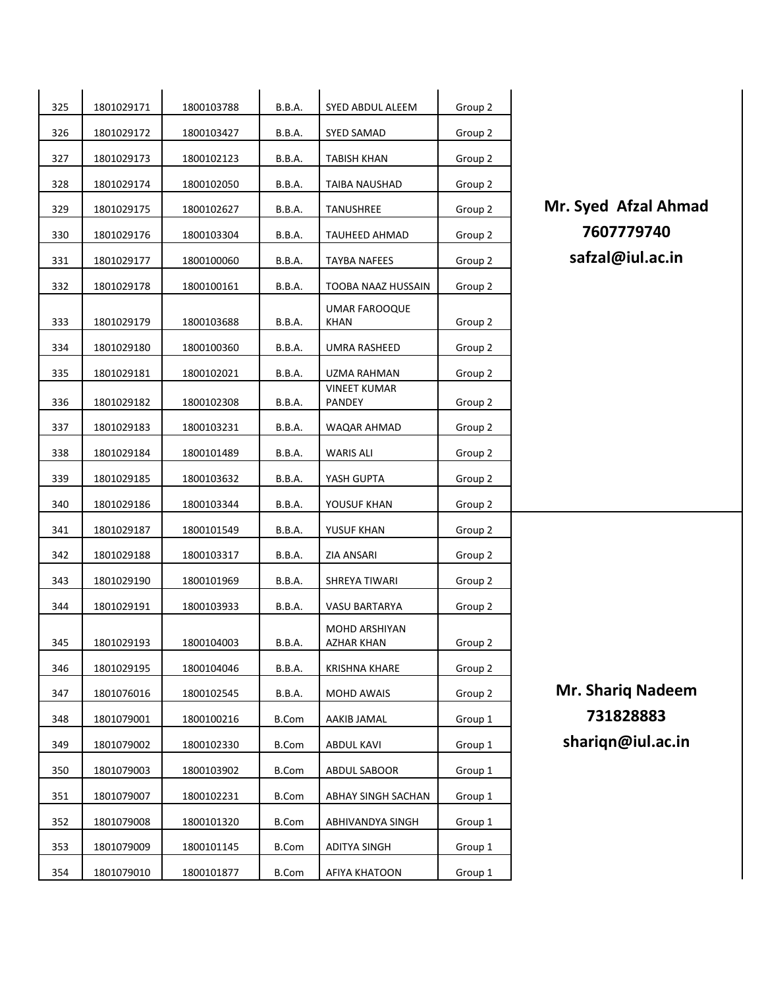| 325 | 1801029171 | 1800103788 | <b>B.B.A.</b> | SYED ABDUL ALEEM                     | Group 2 |
|-----|------------|------------|---------------|--------------------------------------|---------|
| 326 | 1801029172 | 1800103427 | <b>B.B.A.</b> | SYED SAMAD                           | Group 2 |
| 327 | 1801029173 | 1800102123 | <b>B.B.A.</b> | TABISH KHAN                          | Group 2 |
| 328 | 1801029174 | 1800102050 | B.B.A.        | TAIBA NAUSHAD                        | Group 2 |
| 329 | 1801029175 | 1800102627 | B.B.A.        | TANUSHREE                            | Group 2 |
| 330 | 1801029176 | 1800103304 | B.B.A.        | TAUHEED AHMAD                        | Group 2 |
| 331 | 1801029177 | 1800100060 | B.B.A.        | <b>TAYBA NAFEES</b>                  | Group 2 |
| 332 | 1801029178 | 1800100161 | <b>B.B.A.</b> | TOOBA NAAZ HUSSAIN                   | Group 2 |
| 333 | 1801029179 | 1800103688 | <b>B.B.A.</b> | UMAR FAROOQUE<br>KHAN                | Group 2 |
| 334 | 1801029180 | 1800100360 | <b>B.B.A.</b> | UMRA RASHEED                         | Group 2 |
| 335 | 1801029181 | 1800102021 | B.B.A.        | UZMA RAHMAN                          | Group 2 |
| 336 | 1801029182 | 1800102308 | B.B.A.        | <b>VINEET KUMAR</b><br><b>PANDEY</b> | Group 2 |
| 337 | 1801029183 | 1800103231 | B.B.A.        | WAQAR AHMAD                          | Group 2 |
| 338 | 1801029184 | 1800101489 | B.B.A.        | <b>WARIS ALI</b>                     | Group 2 |
| 339 | 1801029185 | 1800103632 | B.B.A.        | YASH GUPTA                           | Group 2 |
| 340 | 1801029186 | 1800103344 | B.B.A.        | YOUSUF KHAN                          | Group 2 |
| 341 | 1801029187 | 1800101549 | B.B.A.        | YUSUF KHAN                           | Group 2 |
| 342 | 1801029188 | 1800103317 | B.B.A.        | ZIA ANSARI                           | Group 2 |
| 343 | 1801029190 | 1800101969 | B.B.A.        | SHREYA TIWARI                        | Group 2 |
| 344 | 1801029191 | 1800103933 | B.B.A.        | VASU BARTARYA                        | Group 2 |
| 345 | 1801029193 | 1800104003 | B.B.A.        | <b>MOHD ARSHIYAN</b><br>AZHAR KHAN   | Group 2 |
| 346 | 1801029195 | 1800104046 | <b>B.B.A.</b> | <b>KRISHNA KHARE</b>                 | Group 2 |
| 347 | 1801076016 | 1800102545 | <b>B.B.A.</b> | MOHD AWAIS                           | Group 2 |
| 348 | 1801079001 | 1800100216 | B.Com         | AAKIB JAMAL                          | Group 1 |
| 349 | 1801079002 | 1800102330 | <b>B.Com</b>  | ABDUL KAVI                           | Group 1 |
| 350 | 1801079003 | 1800103902 | <b>B.Com</b>  | ABDUL SABOOR                         | Group 1 |
| 351 | 1801079007 | 1800102231 | <b>B.Com</b>  | ABHAY SINGH SACHAN                   | Group 1 |
| 352 | 1801079008 | 1800101320 | <b>B.Com</b>  | ABHIVANDYA SINGH                     | Group 1 |
| 353 | 1801079009 | 1800101145 | <b>B.Com</b>  | <b>ADITYA SINGH</b>                  | Group 1 |
| 354 | 1801079010 | 1800101877 | <b>B.Com</b>  | AFIYA KHATOON                        | Group 1 |

**Mr. Syed Afzal Ahmad**  <sup>1801029176</sup> <sup>1800103304</sup> B.B.A. TAUHEED AHMAD Group 2 **7607779740** safzal@iul.ac.in

**Mr. Shariq Nadeem**  <sup>1801079001</sup> <sup>1800100216</sup> B.Com AAKIB JAMAL Group 1 **731828883** shariqn@iul.ac.in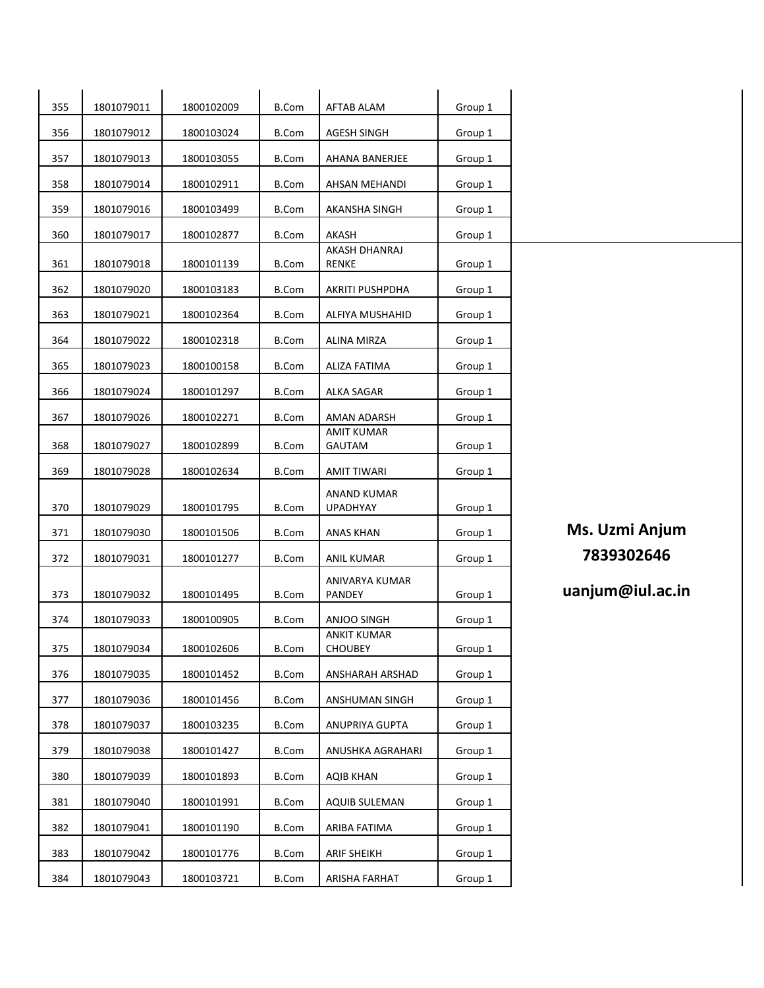| 355 | 1801079011 | 1800102009 | <b>B.Com</b> | <b>AFTAB ALAM</b>                 | Group 1 |                  |
|-----|------------|------------|--------------|-----------------------------------|---------|------------------|
| 356 | 1801079012 | 1800103024 | <b>B.Com</b> | <b>AGESH SINGH</b>                | Group 1 |                  |
| 357 | 1801079013 | 1800103055 | <b>B.Com</b> | AHANA BANERJEE                    | Group 1 |                  |
| 358 | 1801079014 | 1800102911 | <b>B.Com</b> | AHSAN MEHANDI                     |         |                  |
|     |            |            |              |                                   | Group 1 |                  |
| 359 | 1801079016 | 1800103499 | <b>B.Com</b> | AKANSHA SINGH                     | Group 1 |                  |
| 360 | 1801079017 | 1800102877 | <b>B.Com</b> | AKASH<br>AKASH DHANRAJ            | Group 1 |                  |
| 361 | 1801079018 | 1800101139 | <b>B.Com</b> | <b>RENKE</b>                      | Group 1 |                  |
| 362 | 1801079020 | 1800103183 | <b>B.Com</b> | AKRITI PUSHPDHA                   | Group 1 |                  |
| 363 | 1801079021 | 1800102364 | <b>B.Com</b> | ALFIYA MUSHAHID                   | Group 1 |                  |
| 364 | 1801079022 | 1800102318 | <b>B.Com</b> | ALINA MIRZA                       | Group 1 |                  |
| 365 | 1801079023 | 1800100158 | <b>B.Com</b> | <b>ALIZA FATIMA</b>               | Group 1 |                  |
| 366 | 1801079024 | 1800101297 | <b>B.Com</b> | ALKA SAGAR                        | Group 1 |                  |
| 367 | 1801079026 | 1800102271 | <b>B.Com</b> | AMAN ADARSH                       | Group 1 |                  |
| 368 | 1801079027 | 1800102899 | <b>B.Com</b> | <b>AMIT KUMAR</b><br>GAUTAM       | Group 1 |                  |
| 369 | 1801079028 | 1800102634 | <b>B.Com</b> | AMIT TIWARI                       | Group 1 |                  |
|     |            |            |              | <b>ANAND KUMAR</b>                |         |                  |
| 370 | 1801079029 | 1800101795 | <b>B.Com</b> | <b>UPADHYAY</b>                   | Group 1 |                  |
| 371 | 1801079030 | 1800101506 | <b>B.Com</b> | <b>ANAS KHAN</b>                  | Group 1 | Ms. Uzmi Anjum   |
| 372 | 1801079031 | 1800101277 | <b>B.Com</b> | ANIL KUMAR                        | Group 1 | 7839302646       |
|     |            |            |              | ANIVARYA KUMAR                    |         | uanjum@iul.ac.in |
| 373 | 1801079032 | 1800101495 | <b>B.Com</b> | PANDEY                            | Group 1 |                  |
| 374 | 1801079033 | 1800100905 | <b>B.Com</b> | ANJOO SINGH<br><b>ANKIT KUMAR</b> | Group 1 |                  |
| 375 | 1801079034 | 1800102606 | <b>B.Com</b> | <b>CHOUBEY</b>                    | Group 1 |                  |
| 376 | 1801079035 | 1800101452 | <b>B.Com</b> | ANSHARAH ARSHAD                   | Group 1 |                  |
| 377 | 1801079036 | 1800101456 | <b>B.Com</b> | ANSHUMAN SINGH                    | Group 1 |                  |
| 378 | 1801079037 | 1800103235 | <b>B.Com</b> | ANUPRIYA GUPTA                    | Group 1 |                  |
| 379 | 1801079038 | 1800101427 | <b>B.Com</b> | ANUSHKA AGRAHARI                  | Group 1 |                  |
| 380 | 1801079039 | 1800101893 | <b>B.Com</b> | <b>AQIB KHAN</b>                  | Group 1 |                  |
| 381 | 1801079040 | 1800101991 | <b>B.Com</b> | AQUIB SULEMAN                     | Group 1 |                  |
| 382 | 1801079041 | 1800101190 | <b>B.Com</b> | ARIBA FATIMA                      | Group 1 |                  |
| 383 | 1801079042 | 1800101776 | <b>B.Com</b> | <b>ARIF SHEIKH</b>                | Group 1 |                  |
| 384 | 1801079043 | 1800103721 | B.Com        | ARISHA FARHAT                     | Group 1 |                  |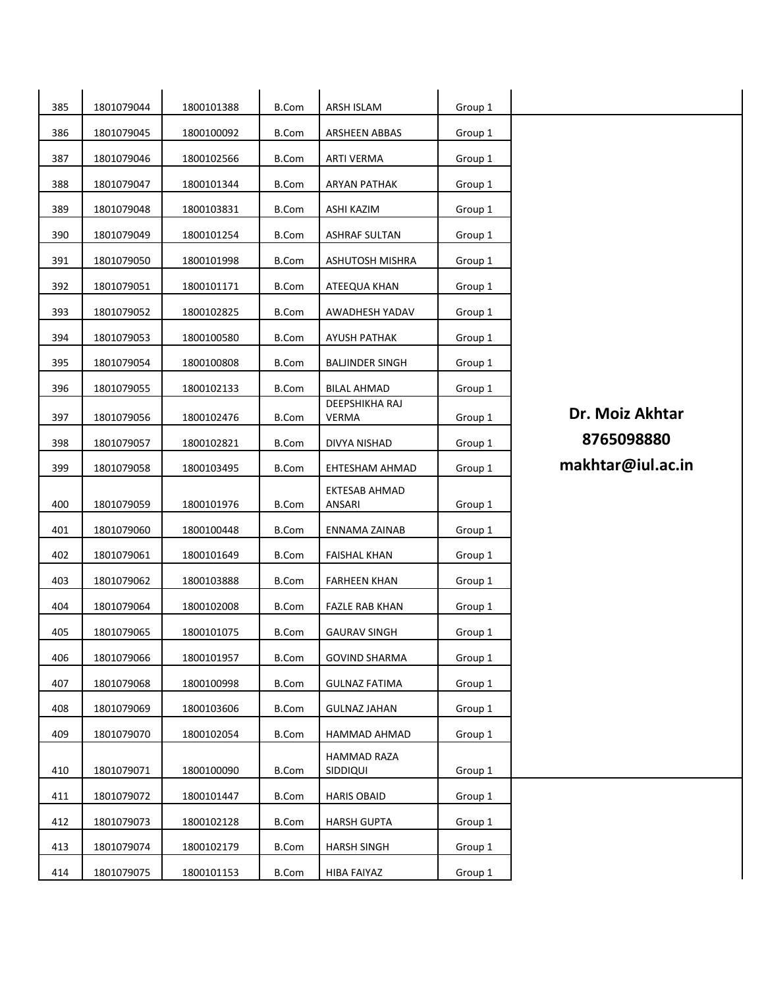| 385 | 1801079044 | 1800101388 | <b>B.Com</b> | ARSH ISLAM                     | Group 1 |                   |
|-----|------------|------------|--------------|--------------------------------|---------|-------------------|
| 386 | 1801079045 | 1800100092 | <b>B.Com</b> | ARSHEEN ABBAS                  | Group 1 |                   |
| 387 | 1801079046 | 1800102566 | <b>B.Com</b> | <b>ARTI VERMA</b>              | Group 1 |                   |
| 388 | 1801079047 | 1800101344 | <b>B.Com</b> | <b>ARYAN PATHAK</b>            | Group 1 |                   |
| 389 | 1801079048 | 1800103831 | <b>B.Com</b> | <b>ASHI KAZIM</b>              | Group 1 |                   |
| 390 | 1801079049 | 1800101254 | <b>B.Com</b> | <b>ASHRAF SULTAN</b>           | Group 1 |                   |
| 391 | 1801079050 | 1800101998 | <b>B.Com</b> | ASHUTOSH MISHRA                | Group 1 |                   |
| 392 | 1801079051 | 1800101171 | <b>B.Com</b> | ATEEQUA KHAN                   | Group 1 |                   |
| 393 | 1801079052 | 1800102825 | <b>B.Com</b> | AWADHESH YADAV                 | Group 1 |                   |
| 394 | 1801079053 | 1800100580 | <b>B.Com</b> | AYUSH PATHAK                   | Group 1 |                   |
| 395 | 1801079054 | 1800100808 | <b>B.Com</b> | <b>BALJINDER SINGH</b>         | Group 1 |                   |
| 396 | 1801079055 | 1800102133 | <b>B.Com</b> | <b>BILAL AHMAD</b>             | Group 1 |                   |
| 397 | 1801079056 | 1800102476 | <b>B.Com</b> | DEEPSHIKHA RAJ<br><b>VERMA</b> | Group 1 | Dr. Moiz Akhtar   |
| 398 | 1801079057 | 1800102821 | <b>B.Com</b> | DIVYA NISHAD                   | Group 1 | 8765098880        |
| 399 | 1801079058 | 1800103495 | <b>B.Com</b> | EHTESHAM AHMAD                 | Group 1 | makhtar@iul.ac.in |
| 400 | 1801079059 | 1800101976 | <b>B.Com</b> | EKTESAB AHMAD<br>ANSARI        | Group 1 |                   |
| 401 | 1801079060 | 1800100448 | <b>B.Com</b> | ENNAMA ZAINAB                  | Group 1 |                   |
| 402 | 1801079061 | 1800101649 | <b>B.Com</b> | <b>FAISHAL KHAN</b>            | Group 1 |                   |
| 403 | 1801079062 | 1800103888 | <b>B.Com</b> | <b>FARHEEN KHAN</b>            | Group 1 |                   |
| 404 | 1801079064 | 1800102008 | <b>B.Com</b> | <b>FAZLE RAB KHAN</b>          | Group 1 |                   |
| 405 | 1801079065 | 1800101075 | <b>B.Com</b> | <b>GAURAV SINGH</b>            | Group 1 |                   |
| 406 | 1801079066 | 1800101957 | <b>B.Com</b> | <b>GOVIND SHARMA</b>           | Group 1 |                   |
| 407 | 1801079068 | 1800100998 | <b>B.Com</b> | <b>GULNAZ FATIMA</b>           | Group 1 |                   |
| 408 | 1801079069 | 1800103606 | <b>B.Com</b> | <b>GULNAZ JAHAN</b>            | Group 1 |                   |
| 409 | 1801079070 | 1800102054 | <b>B.Com</b> | HAMMAD AHMAD                   | Group 1 |                   |
| 410 | 1801079071 | 1800100090 | <b>B.Com</b> | HAMMAD RAZA<br>SIDDIQUI        | Group 1 |                   |
| 411 | 1801079072 | 1800101447 | <b>B.Com</b> | <b>HARIS OBAID</b>             | Group 1 |                   |
| 412 | 1801079073 | 1800102128 | <b>B.Com</b> | <b>HARSH GUPTA</b>             | Group 1 |                   |
| 413 | 1801079074 | 1800102179 | <b>B.Com</b> | <b>HARSH SINGH</b>             | Group 1 |                   |
| 414 | 1801079075 | 1800101153 | <b>B.Com</b> | HIBA FAIYAZ                    | Group 1 |                   |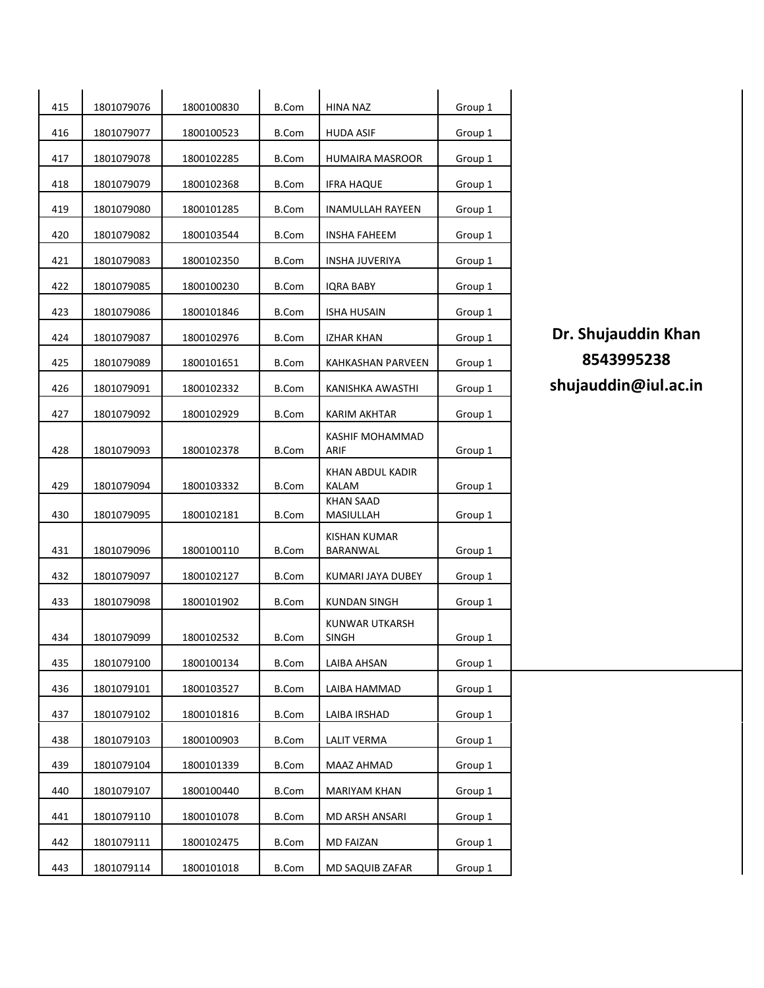| 415 | 1801079076 | 1800100830 | <b>B.Com</b> | <b>HINA NAZ</b>                | Group 1 |
|-----|------------|------------|--------------|--------------------------------|---------|
| 416 | 1801079077 | 1800100523 | <b>B.Com</b> | HUDA ASIF                      | Group 1 |
| 417 | 1801079078 | 1800102285 | B.Com        | HUMAIRA MASROOR                | Group 1 |
| 418 | 1801079079 | 1800102368 | <b>B.Com</b> | <b>IFRA HAQUE</b>              | Group 1 |
| 419 | 1801079080 | 1800101285 | B.Com        | <b>INAMULLAH RAYEEN</b>        | Group 1 |
| 420 | 1801079082 | 1800103544 | B.Com        | INSHA FAHEEM                   | Group 1 |
| 421 | 1801079083 | 1800102350 | <b>B.Com</b> | <b>INSHA JUVERIYA</b>          | Group 1 |
| 422 | 1801079085 | 1800100230 | <b>B.Com</b> | IQRA BABY                      | Group 1 |
| 423 | 1801079086 | 1800101846 | B.Com        | <b>ISHA HUSAIN</b>             | Group 1 |
| 424 | 1801079087 | 1800102976 | <b>B.Com</b> | IZHAR KHAN                     | Group 1 |
| 425 | 1801079089 | 1800101651 | <b>B.Com</b> | KAHKASHAN PARVEEN              | Group 1 |
| 426 | 1801079091 | 1800102332 | B.Com        | KANISHKA AWASTHI               | Group 1 |
| 427 | 1801079092 | 1800102929 | B.Com        | KARIM AKHTAR                   | Group 1 |
| 428 | 1801079093 | 1800102378 | <b>B.Com</b> | KASHIF MOHAMMAD<br><b>ARIF</b> | Group 1 |
| 429 | 1801079094 | 1800103332 | B.Com        | KHAN ABDUL KADIR<br>KALAM      | Group 1 |
| 430 | 1801079095 | 1800102181 | <b>B.Com</b> | <b>KHAN SAAD</b><br>MASIULLAH  | Group 1 |
| 431 | 1801079096 | 1800100110 | <b>B.Com</b> | KISHAN KUMAR<br>BARANWAL       | Group 1 |
| 432 | 1801079097 | 1800102127 | <b>B.Com</b> | KUMARI JAYA DUBEY              | Group 1 |
| 433 | 1801079098 | 1800101902 | <b>B.Com</b> | KUNDAN SINGH                   | Group 1 |
| 434 | 1801079099 | 1800102532 | <b>B.Com</b> | KUNWAR UTKARSH<br>SINGH        | Group 1 |
| 435 | 1801079100 | 1800100134 | <b>B.Com</b> | LAIBA AHSAN                    | Group 1 |
| 436 | 1801079101 | 1800103527 | <b>B.Com</b> | LAIBA HAMMAD                   | Group 1 |
| 437 | 1801079102 | 1800101816 | <b>B.Com</b> | LAIBA IRSHAD                   | Group 1 |
| 438 | 1801079103 | 1800100903 | <b>B.Com</b> | <b>LALIT VERMA</b>             | Group 1 |
| 439 | 1801079104 | 1800101339 | <b>B.Com</b> | MAAZ AHMAD                     | Group 1 |
| 440 | 1801079107 | 1800100440 | <b>B.Com</b> | MARIYAM KHAN                   | Group 1 |
| 441 | 1801079110 | 1800101078 | <b>B.Com</b> | MD ARSH ANSARI                 | Group 1 |
| 442 | 1801079111 | 1800102475 | <b>B.Com</b> | <b>MD FAIZAN</b>               | Group 1 |
| 443 | 1801079114 | 1800101018 | <b>B.Com</b> | MD SAQUIB ZAFAR                | Group 1 |

## **Dr. Shujauddin Khan**  <sup>1801079089</sup> <sup>1800101651</sup> B.Com KAHKASHAN PARVEEN Group 1 **8543995238**  $shujauddin@iul.ac.in$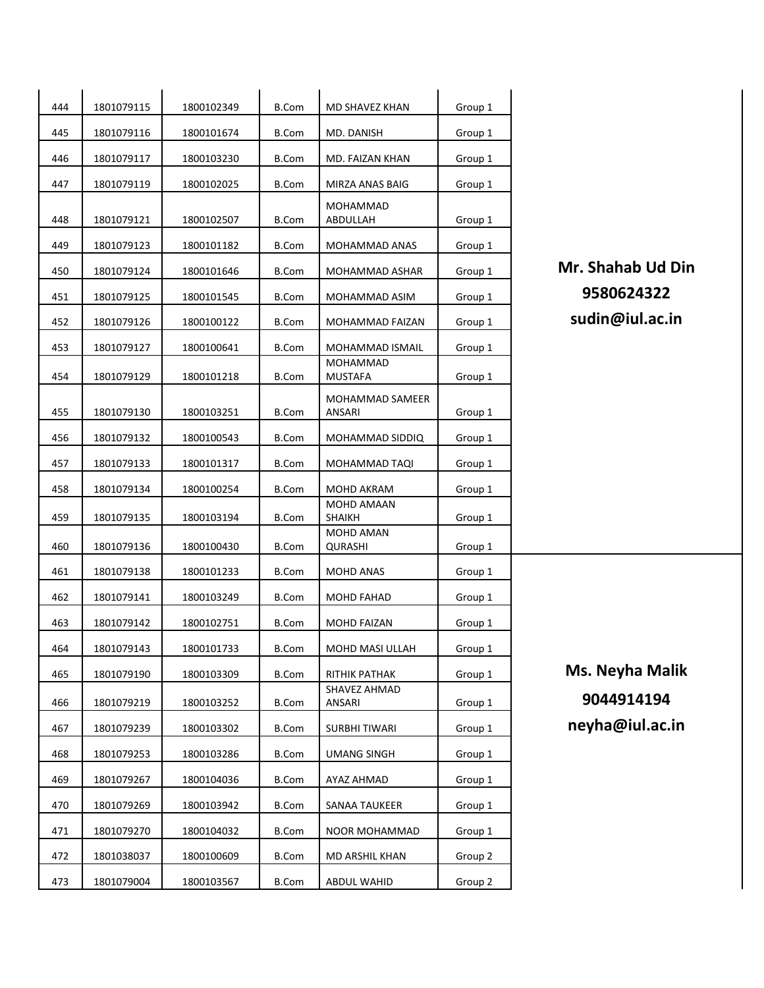| 444 | 1801079115 | 1800102349 | <b>B.Com</b> | MD SHAVEZ KHAN            | Group 1 |   |
|-----|------------|------------|--------------|---------------------------|---------|---|
| 445 | 1801079116 | 1800101674 | <b>B.Com</b> | MD. DANISH                | Group 1 |   |
| 446 | 1801079117 | 1800103230 | B.Com        | MD. FAIZAN KHAN           | Group 1 |   |
| 447 | 1801079119 | 1800102025 | B.Com        | MIRZA ANAS BAIG           | Group 1 |   |
| 448 | 1801079121 | 1800102507 | B.Com        | MOHAMMAD<br>ABDULLAH      | Group 1 |   |
| 449 | 1801079123 | 1800101182 | B.Com        | MOHAMMAD ANAS             | Group 1 |   |
| 450 | 1801079124 | 1800101646 | B.Com        | MOHAMMAD ASHAR            | Group 1 | M |
| 451 | 1801079125 | 1800101545 | <b>B.Com</b> | MOHAMMAD ASIM             | Group 1 |   |
| 452 | 1801079126 | 1800100122 | B.Com        | MOHAMMAD FAIZAN           | Group 1 | S |
| 453 | 1801079127 | 1800100641 | B.Com        | MOHAMMAD ISMAIL           | Group 1 |   |
| 454 | 1801079129 | 1800101218 | <b>B.Com</b> | MOHAMMAD<br>MUSTAFA       | Group 1 |   |
| 455 | 1801079130 | 1800103251 | B.Com        | MOHAMMAD SAMEER<br>ANSARI | Group 1 |   |
| 456 | 1801079132 | 1800100543 | B.Com        | MOHAMMAD SIDDIQ           | Group 1 |   |
| 457 | 1801079133 | 1800101317 | B.Com        | MOHAMMAD TAQI             | Group 1 |   |
|     |            |            |              |                           |         |   |
| 458 | 1801079134 | 1800100254 | B.Com        | MOHD AKRAM<br>MOHD AMAAN  | Group 1 |   |
| 459 | 1801079135 | 1800103194 | B.Com        | SHAIKH                    | Group 1 |   |
| 460 | 1801079136 | 1800100430 | B.Com        | MOHD AMAN<br>QURASHI      | Group 1 |   |
| 461 | 1801079138 | 1800101233 | B.Com        | MOHD ANAS                 | Group 1 |   |
| 462 | 1801079141 | 1800103249 | B.Com        | MOHD FAHAD                | Group 1 |   |
| 463 | 1801079142 | 1800102751 | B.Com        | <b>MOHD FAIZAN</b>        | Group 1 |   |
| 464 | 1801079143 | 1800101733 | <b>B.Com</b> | MOHD MASI ULLAH           | Group 1 |   |
| 465 | 1801079190 | 1800103309 | <b>B.Com</b> | RITHIK PATHAK             | Group 1 | N |
| 466 | 1801079219 | 1800103252 | B.Com        | SHAVEZ AHMAD<br>ANSARI    | Group 1 |   |
| 467 | 1801079239 | 1800103302 | <b>B.Com</b> | SURBHI TIWARI             | Group 1 | n |
| 468 | 1801079253 | 1800103286 | <b>B.Com</b> | <b>UMANG SINGH</b>        | Group 1 |   |
| 469 | 1801079267 | 1800104036 | <b>B.Com</b> | AYAZ AHMAD                | Group 1 |   |
| 470 | 1801079269 | 1800103942 | <b>B.Com</b> | SANAA TAUKEER             | Group 1 |   |
| 471 | 1801079270 | 1800104032 | <b>B.Com</b> | NOOR MOHAMMAD             | Group 1 |   |
| 472 | 1801038037 | 1800100609 | B.Com        | MD ARSHIL KHAN            | Group 2 |   |
| 473 | 1801079004 | 1800103567 | <b>B.Com</b> | ABDUL WAHID               | Group 2 |   |
|     |            |            |              |                           |         |   |

r. Shahab Ud Din <sup>1801079125</sup> <sup>1800101545</sup> B.Com MOHAMMAD ASIM Group 1 **9580624322** sudin@iul.ac.in

1s. Neyha Malik ANSARI Group 1 **9044914194** 1eyha@iul.ac.in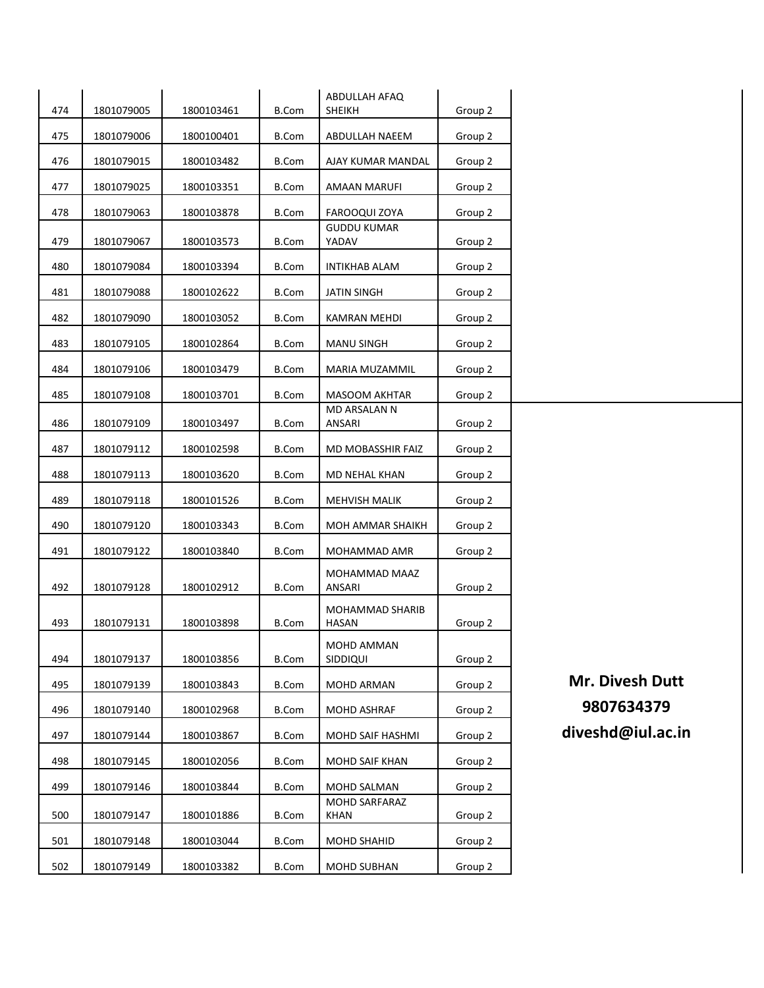| 474 | 1801079005 | 1800103461 | <b>B.Com</b> | ABDULLAH AFAQ<br>SHEIKH             | Group 2 |                   |
|-----|------------|------------|--------------|-------------------------------------|---------|-------------------|
| 475 | 1801079006 | 1800100401 | <b>B.Com</b> | ABDULLAH NAEEM                      | Group 2 |                   |
| 476 | 1801079015 | 1800103482 | B.Com        | AJAY KUMAR MANDAL                   | Group 2 |                   |
| 477 | 1801079025 | 1800103351 | <b>B.Com</b> | <b>AMAAN MARUFI</b>                 | Group 2 |                   |
| 478 | 1801079063 | 1800103878 | <b>B.Com</b> | FAROOQUI ZOYA                       | Group 2 |                   |
| 479 | 1801079067 | 1800103573 | <b>B.Com</b> | GUDDU KUMAR<br>YADAV                | Group 2 |                   |
| 480 | 1801079084 | 1800103394 | <b>B.Com</b> | INTIKHAB ALAM                       | Group 2 |                   |
| 481 | 1801079088 | 1800102622 | <b>B.Com</b> | <b>JATIN SINGH</b>                  | Group 2 |                   |
| 482 | 1801079090 | 1800103052 | <b>B.Com</b> | KAMRAN MEHDI                        | Group 2 |                   |
| 483 | 1801079105 | 1800102864 | <b>B.Com</b> | <b>MANU SINGH</b>                   | Group 2 |                   |
| 484 | 1801079106 | 1800103479 | <b>B.Com</b> | MARIA MUZAMMIL                      | Group 2 |                   |
| 485 | 1801079108 | 1800103701 | <b>B.Com</b> | <b>MASOOM AKHTAR</b>                | Group 2 |                   |
| 486 | 1801079109 | 1800103497 | <b>B.Com</b> | MD ARSALAN N<br>ANSARI              | Group 2 |                   |
| 487 | 1801079112 | 1800102598 | <b>B.Com</b> | MD MOBASSHIR FAIZ                   | Group 2 |                   |
| 488 | 1801079113 | 1800103620 | <b>B.Com</b> | MD NEHAL KHAN                       | Group 2 |                   |
| 489 | 1801079118 | 1800101526 | <b>B.Com</b> | <b>MEHVISH MALIK</b>                | Group 2 |                   |
| 490 | 1801079120 | 1800103343 | <b>B.Com</b> | MOH AMMAR SHAIKH                    | Group 2 |                   |
| 491 | 1801079122 | 1800103840 | <b>B.Com</b> | MOHAMMAD AMR                        | Group 2 |                   |
| 492 | 1801079128 | 1800102912 | <b>B.Com</b> | MOHAMMAD MAAZ<br><b>ANSARI</b>      | Group 2 |                   |
| 493 | 1801079131 | 1800103898 | <b>B.Com</b> | MOHAMMAD SHARIB<br><b>HASAN</b>     | Group 2 |                   |
| 494 | 1801079137 | 1800103856 | <b>B.Com</b> | MOHD AMMAN<br>SIDDIQUI              | Group 2 |                   |
| 495 | 1801079139 | 1800103843 | <b>B.Com</b> | MOHD ARMAN                          | Group 2 | Mr. Divesh Dutt   |
| 496 | 1801079140 | 1800102968 | <b>B.Com</b> | MOHD ASHRAF                         | Group 2 | 9807634379        |
| 497 | 1801079144 | 1800103867 | <b>B.Com</b> | MOHD SAIF HASHMI                    | Group 2 | diveshd@iul.ac.in |
| 498 | 1801079145 | 1800102056 | <b>B.Com</b> | <b>MOHD SAIF KHAN</b>               | Group 2 |                   |
| 499 | 1801079146 | 1800103844 | <b>B.Com</b> | MOHD SALMAN                         | Group 2 |                   |
| 500 | 1801079147 | 1800101886 | <b>B.Com</b> | <b>MOHD SARFARAZ</b><br><b>KHAN</b> | Group 2 |                   |
| 501 | 1801079148 | 1800103044 | <b>B.Com</b> | MOHD SHAHID                         | Group 2 |                   |
| 502 | 1801079149 | 1800103382 | <b>B.Com</b> | MOHD SUBHAN                         | Group 2 |                   |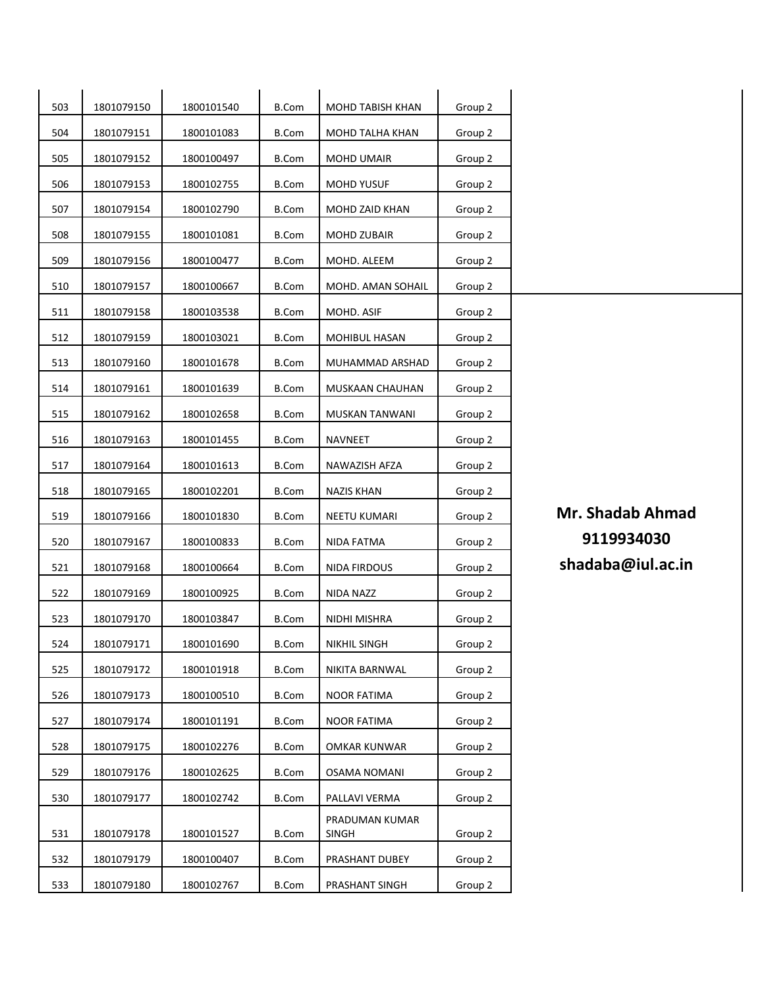| 503 | 1801079150 | 1800101540 | <b>B.Com</b> | MOHD TABISH KHAN               | Group 2 |                         |
|-----|------------|------------|--------------|--------------------------------|---------|-------------------------|
| 504 | 1801079151 | 1800101083 | <b>B.Com</b> | MOHD TALHA KHAN                | Group 2 |                         |
| 505 | 1801079152 | 1800100497 | <b>B.Com</b> | MOHD UMAIR                     | Group 2 |                         |
| 506 | 1801079153 | 1800102755 | <b>B.Com</b> | <b>MOHD YUSUF</b>              | Group 2 |                         |
| 507 | 1801079154 | 1800102790 | <b>B.Com</b> | MOHD ZAID KHAN                 | Group 2 |                         |
| 508 | 1801079155 | 1800101081 | <b>B.Com</b> | MOHD ZUBAIR                    | Group 2 |                         |
| 509 | 1801079156 | 1800100477 | <b>B.Com</b> | MOHD. ALEEM                    | Group 2 |                         |
| 510 | 1801079157 | 1800100667 | <b>B.Com</b> | MOHD. AMAN SOHAIL              | Group 2 |                         |
| 511 | 1801079158 | 1800103538 | <b>B.Com</b> | MOHD. ASIF                     | Group 2 |                         |
| 512 | 1801079159 | 1800103021 | <b>B.Com</b> | MOHIBUL HASAN                  | Group 2 |                         |
| 513 | 1801079160 | 1800101678 | <b>B.Com</b> | MUHAMMAD ARSHAD                | Group 2 |                         |
| 514 | 1801079161 | 1800101639 | <b>B.Com</b> | MUSKAAN CHAUHAN                | Group 2 |                         |
| 515 | 1801079162 | 1800102658 | <b>B.Com</b> | MUSKAN TANWANI                 | Group 2 |                         |
| 516 | 1801079163 | 1800101455 | <b>B.Com</b> | NAVNEET                        | Group 2 |                         |
| 517 | 1801079164 | 1800101613 | <b>B.Com</b> | NAWAZISH AFZA                  | Group 2 |                         |
| 518 | 1801079165 | 1800102201 | <b>B.Com</b> | <b>NAZIS KHAN</b>              | Group 2 |                         |
| 519 | 1801079166 | 1800101830 | <b>B.Com</b> | NEETU KUMARI                   | Group 2 | <b>Mr. Shadab Ahmad</b> |
| 520 | 1801079167 | 1800100833 | <b>B.Com</b> | NIDA FATMA                     | Group 2 | 9119934030              |
| 521 | 1801079168 | 1800100664 | <b>B.Com</b> | NIDA FIRDOUS                   | Group 2 | shadaba@iul.ac.in       |
| 522 | 1801079169 | 1800100925 | <b>B.Com</b> | NIDA NAZZ                      | Group 2 |                         |
| 523 | 1801079170 | 1800103847 | <b>B.Com</b> | NIDHI MISHRA                   | Group 2 |                         |
| 524 | 1801079171 | 1800101690 | B.Com        | NIKHIL SINGH                   | Group 2 |                         |
| 525 | 1801079172 | 1800101918 | <b>B.Com</b> | NIKITA BARNWAL                 | Group 2 |                         |
| 526 | 1801079173 | 1800100510 | <b>B.Com</b> | <b>NOOR FATIMA</b>             | Group 2 |                         |
| 527 | 1801079174 | 1800101191 | <b>B.Com</b> | <b>NOOR FATIMA</b>             | Group 2 |                         |
| 528 | 1801079175 | 1800102276 | <b>B.Com</b> | OMKAR KUNWAR                   | Group 2 |                         |
| 529 | 1801079176 | 1800102625 | <b>B.Com</b> | <b>OSAMA NOMANI</b>            | Group 2 |                         |
| 530 | 1801079177 | 1800102742 | <b>B.Com</b> | PALLAVI VERMA                  | Group 2 |                         |
| 531 | 1801079178 | 1800101527 | <b>B.Com</b> | PRADUMAN KUMAR<br><b>SINGH</b> | Group 2 |                         |
| 532 | 1801079179 | 1800100407 | <b>B.Com</b> | PRASHANT DUBEY                 | Group 2 |                         |
| 533 | 1801079180 | 1800102767 | <b>B.Com</b> | PRASHANT SINGH                 | Group 2 |                         |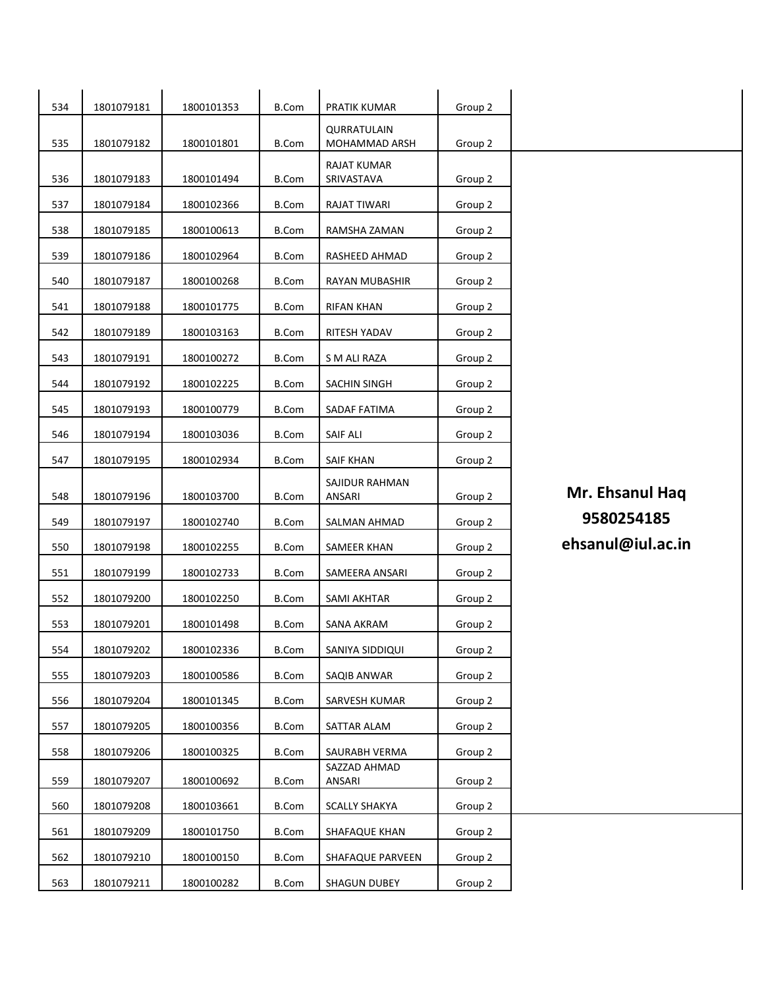| 534 | 1801079181 | 1800101353 | <b>B.Com</b> | PRATIK KUMAR                 | Group 2 |                   |
|-----|------------|------------|--------------|------------------------------|---------|-------------------|
| 535 | 1801079182 | 1800101801 | <b>B.Com</b> | QURRATULAIN<br>MOHAMMAD ARSH | Group 2 |                   |
|     |            |            |              | RAJAT KUMAR                  |         |                   |
| 536 | 1801079183 | 1800101494 | <b>B.Com</b> | SRIVASTAVA                   | Group 2 |                   |
| 537 | 1801079184 | 1800102366 | <b>B.Com</b> | RAJAT TIWARI                 | Group 2 |                   |
| 538 | 1801079185 | 1800100613 | <b>B.Com</b> | RAMSHA ZAMAN                 | Group 2 |                   |
| 539 | 1801079186 | 1800102964 | <b>B.Com</b> | RASHEED AHMAD                | Group 2 |                   |
| 540 | 1801079187 | 1800100268 | <b>B.Com</b> | <b>RAYAN MUBASHIR</b>        | Group 2 |                   |
| 541 | 1801079188 | 1800101775 | <b>B.Com</b> | <b>RIFAN KHAN</b>            | Group 2 |                   |
| 542 | 1801079189 | 1800103163 | <b>B.Com</b> | RITESH YADAV                 | Group 2 |                   |
| 543 | 1801079191 | 1800100272 | <b>B.Com</b> | S M ALI RAZA                 | Group 2 |                   |
| 544 | 1801079192 | 1800102225 | <b>B.Com</b> | SACHIN SINGH                 | Group 2 |                   |
| 545 | 1801079193 | 1800100779 | <b>B.Com</b> | SADAF FATIMA                 | Group 2 |                   |
| 546 | 1801079194 | 1800103036 | <b>B.Com</b> | <b>SAIF ALI</b>              | Group 2 |                   |
| 547 | 1801079195 | 1800102934 | <b>B.Com</b> | <b>SAIF KHAN</b>             | Group 2 |                   |
|     |            |            |              | SAJIDUR RAHMAN               |         | Mr. Ehsanul Haq   |
| 548 | 1801079196 | 1800103700 | <b>B.Com</b> | ANSARI                       | Group 2 |                   |
| 549 | 1801079197 | 1800102740 | <b>B.Com</b> | SALMAN AHMAD                 | Group 2 | 9580254185        |
| 550 | 1801079198 | 1800102255 | <b>B.Com</b> | SAMEER KHAN                  | Group 2 | ehsanul@iul.ac.in |
| 551 | 1801079199 | 1800102733 | <b>B.Com</b> | SAMEERA ANSARI               | Group 2 |                   |
| 552 | 1801079200 | 1800102250 | <b>B.Com</b> | SAMI AKHTAR                  | Group 2 |                   |
| 553 | 1801079201 | 1800101498 | B.Com        | SANA AKRAM                   | Group 2 |                   |
| 554 | 1801079202 | 1800102336 | <b>B.Com</b> | SANIYA SIDDIQUI              | Group 2 |                   |
| 555 | 1801079203 | 1800100586 | <b>B.Com</b> | SAQIB ANWAR                  | Group 2 |                   |
| 556 | 1801079204 | 1800101345 | <b>B.Com</b> | SARVESH KUMAR                | Group 2 |                   |
| 557 | 1801079205 | 1800100356 | <b>B.Com</b> | SATTAR ALAM                  | Group 2 |                   |
| 558 | 1801079206 | 1800100325 | <b>B.Com</b> | SAURABH VERMA                | Group 2 |                   |
| 559 | 1801079207 | 1800100692 | <b>B.Com</b> | SAZZAD AHMAD<br>ANSARI       | Group 2 |                   |
| 560 | 1801079208 | 1800103661 | <b>B.Com</b> | <b>SCALLY SHAKYA</b>         | Group 2 |                   |
| 561 | 1801079209 | 1800101750 | <b>B.Com</b> | SHAFAQUE KHAN                | Group 2 |                   |
| 562 | 1801079210 | 1800100150 | <b>B.Com</b> | SHAFAQUE PARVEEN             | Group 2 |                   |
| 563 | 1801079211 | 1800100282 | <b>B.Com</b> | SHAGUN DUBEY                 | Group 2 |                   |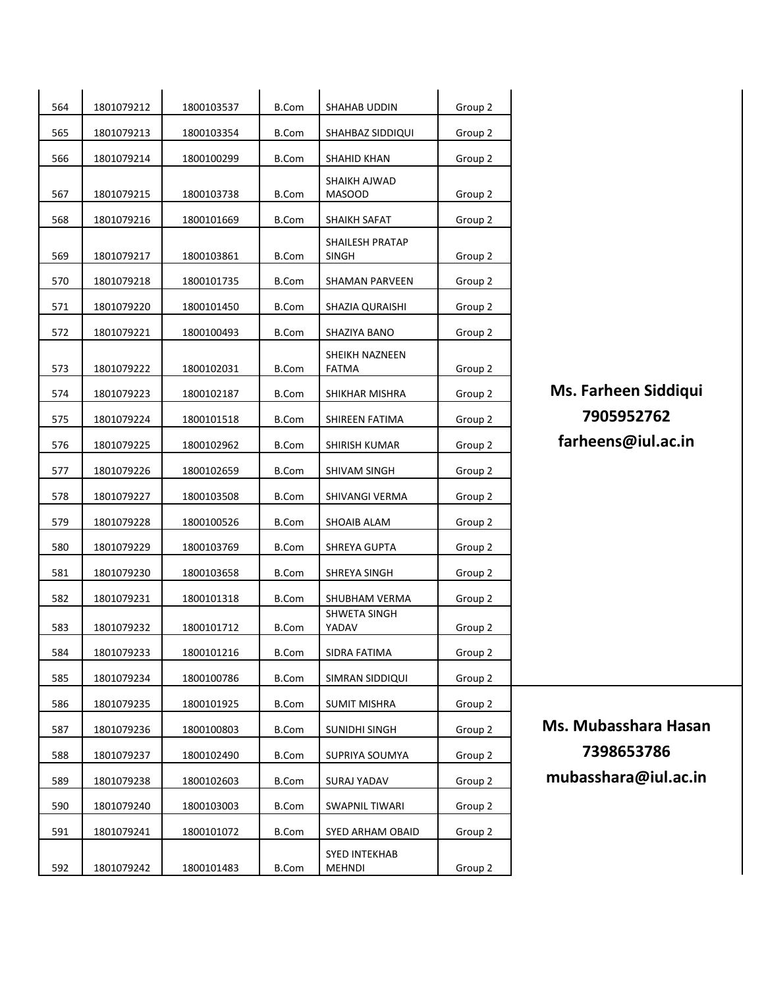| 564<br>1801079212<br>1800103537<br><b>B.Com</b><br>Group 2<br>SHAHAB UDDIN<br>565<br>1801079213<br>1800103354<br><b>B.Com</b><br>SHAHBAZ SIDDIQUI<br>Group 2<br>566<br>1801079214<br>1800100299<br><b>B.Com</b><br><b>SHAHID KHAN</b><br>Group 2<br>SHAIKH AJWAD<br>567<br>1801079215<br>1800103738<br><b>B.Com</b><br>Group 2<br><b>MASOOD</b><br>568<br>1801079216<br>1800101669<br><b>B.Com</b><br>Group 2<br>SHAIKH SAFAT<br>SHAILESH PRATAP<br>569<br>1801079217<br><b>B.Com</b><br>Group 2<br>1800103861<br><b>SINGH</b><br>570<br><b>B.Com</b><br>1801079218<br>1800101735<br>SHAMAN PARVEEN<br>Group 2<br>571<br>1801079220<br>Group 2<br>1800101450<br>B.Com<br>SHAZIA QURAISHI<br>572<br>1801079221<br>1800100493<br><b>B.Com</b><br>Group 2<br>SHAZIYA BANO<br>SHEIKH NAZNEEN<br>573<br>1801079222<br><b>B.Com</b><br>1800102031<br><b>FATMA</b><br>Group 2<br>Ms. Fa<br>574<br>1801079223<br>1800102187<br><b>B.Com</b><br>Group 2<br>SHIKHAR MISHRA<br>79<br>1801079224<br><b>B.Com</b><br>Group 2<br>575<br>1800101518<br>SHIREEN FATIMA<br>farhe<br>576<br>1801079225<br>1800102962<br><b>B.Com</b><br>Group 2<br>SHIRISH KUMAR<br>577<br>1801079226<br>1800102659<br><b>B.Com</b><br>SHIVAM SINGH<br>Group 2<br>578<br>1801079227<br><b>B.Com</b><br>1800103508<br>SHIVANGI VERMA<br>Group 2<br>579<br>1801079228<br>1800100526<br><b>B.Com</b><br>SHOAIB ALAM<br>Group 2<br>580<br>1801079229<br>1800103769<br><b>B.Com</b><br>Group 2<br>SHREYA GUPTA<br>581<br>1801079230<br><b>B.Com</b><br>Group 2<br>1800103658<br>SHREYA SINGH<br>582<br>1801079231<br><b>B.Com</b><br>Group 2<br>1800101318<br>SHUBHAM VERMA<br>SHWETA SINGH<br>583<br>1801079232<br>1800101712<br>YADAV<br>Group 2<br><b>B.Com</b><br>1801079233<br>1800101216<br>584<br><b>B.Com</b><br>SIDRA FATIMA<br>Group 2<br>585<br>1801079234<br>1800100786<br><b>B.Com</b><br>SIMRAN SIDDIQUI<br>Group 2<br>586<br>1801079235<br><b>B.Com</b><br>Group 2<br>1800101925<br><b>SUMIT MISHRA</b><br>Ms. Mu<br>587<br>1801079236<br>1800100803<br><b>B.Com</b><br>Group 2<br>SUNIDHI SINGH<br>73<br>588<br>1801079237<br>1800102490<br><b>B.Com</b><br>Group 2<br>SUPRIYA SOUMYA<br>589<br>1801079238<br>1800102603<br><b>B.Com</b><br>Group 2<br>SURAJ YADAV<br>590<br>1801079240<br>1800103003<br><b>B.Com</b><br><b>SWAPNIL TIWARI</b><br>Group 2<br>591<br>1801079241<br>1800101072<br><b>B.Com</b><br>SYED ARHAM OBAID<br>Group 2<br><b>SYED INTEKHAB</b><br>592<br>1801079242<br>Group 2<br>1800101483<br><b>B.Com</b><br><b>MEHNDI</b> |       |  |  |  |
|-----------------------------------------------------------------------------------------------------------------------------------------------------------------------------------------------------------------------------------------------------------------------------------------------------------------------------------------------------------------------------------------------------------------------------------------------------------------------------------------------------------------------------------------------------------------------------------------------------------------------------------------------------------------------------------------------------------------------------------------------------------------------------------------------------------------------------------------------------------------------------------------------------------------------------------------------------------------------------------------------------------------------------------------------------------------------------------------------------------------------------------------------------------------------------------------------------------------------------------------------------------------------------------------------------------------------------------------------------------------------------------------------------------------------------------------------------------------------------------------------------------------------------------------------------------------------------------------------------------------------------------------------------------------------------------------------------------------------------------------------------------------------------------------------------------------------------------------------------------------------------------------------------------------------------------------------------------------------------------------------------------------------------------------------------------------------------------------------------------------------------------------------------------------------------------------------------------------------------------------------------------------------------------------------------------------------------------------------------------------------------------------------------------------------------------------------------------------------------------------------------------------------------|-------|--|--|--|
|                                                                                                                                                                                                                                                                                                                                                                                                                                                                                                                                                                                                                                                                                                                                                                                                                                                                                                                                                                                                                                                                                                                                                                                                                                                                                                                                                                                                                                                                                                                                                                                                                                                                                                                                                                                                                                                                                                                                                                                                                                                                                                                                                                                                                                                                                                                                                                                                                                                                                                                             |       |  |  |  |
|                                                                                                                                                                                                                                                                                                                                                                                                                                                                                                                                                                                                                                                                                                                                                                                                                                                                                                                                                                                                                                                                                                                                                                                                                                                                                                                                                                                                                                                                                                                                                                                                                                                                                                                                                                                                                                                                                                                                                                                                                                                                                                                                                                                                                                                                                                                                                                                                                                                                                                                             |       |  |  |  |
|                                                                                                                                                                                                                                                                                                                                                                                                                                                                                                                                                                                                                                                                                                                                                                                                                                                                                                                                                                                                                                                                                                                                                                                                                                                                                                                                                                                                                                                                                                                                                                                                                                                                                                                                                                                                                                                                                                                                                                                                                                                                                                                                                                                                                                                                                                                                                                                                                                                                                                                             |       |  |  |  |
|                                                                                                                                                                                                                                                                                                                                                                                                                                                                                                                                                                                                                                                                                                                                                                                                                                                                                                                                                                                                                                                                                                                                                                                                                                                                                                                                                                                                                                                                                                                                                                                                                                                                                                                                                                                                                                                                                                                                                                                                                                                                                                                                                                                                                                                                                                                                                                                                                                                                                                                             |       |  |  |  |
|                                                                                                                                                                                                                                                                                                                                                                                                                                                                                                                                                                                                                                                                                                                                                                                                                                                                                                                                                                                                                                                                                                                                                                                                                                                                                                                                                                                                                                                                                                                                                                                                                                                                                                                                                                                                                                                                                                                                                                                                                                                                                                                                                                                                                                                                                                                                                                                                                                                                                                                             |       |  |  |  |
|                                                                                                                                                                                                                                                                                                                                                                                                                                                                                                                                                                                                                                                                                                                                                                                                                                                                                                                                                                                                                                                                                                                                                                                                                                                                                                                                                                                                                                                                                                                                                                                                                                                                                                                                                                                                                                                                                                                                                                                                                                                                                                                                                                                                                                                                                                                                                                                                                                                                                                                             |       |  |  |  |
|                                                                                                                                                                                                                                                                                                                                                                                                                                                                                                                                                                                                                                                                                                                                                                                                                                                                                                                                                                                                                                                                                                                                                                                                                                                                                                                                                                                                                                                                                                                                                                                                                                                                                                                                                                                                                                                                                                                                                                                                                                                                                                                                                                                                                                                                                                                                                                                                                                                                                                                             |       |  |  |  |
|                                                                                                                                                                                                                                                                                                                                                                                                                                                                                                                                                                                                                                                                                                                                                                                                                                                                                                                                                                                                                                                                                                                                                                                                                                                                                                                                                                                                                                                                                                                                                                                                                                                                                                                                                                                                                                                                                                                                                                                                                                                                                                                                                                                                                                                                                                                                                                                                                                                                                                                             |       |  |  |  |
|                                                                                                                                                                                                                                                                                                                                                                                                                                                                                                                                                                                                                                                                                                                                                                                                                                                                                                                                                                                                                                                                                                                                                                                                                                                                                                                                                                                                                                                                                                                                                                                                                                                                                                                                                                                                                                                                                                                                                                                                                                                                                                                                                                                                                                                                                                                                                                                                                                                                                                                             |       |  |  |  |
|                                                                                                                                                                                                                                                                                                                                                                                                                                                                                                                                                                                                                                                                                                                                                                                                                                                                                                                                                                                                                                                                                                                                                                                                                                                                                                                                                                                                                                                                                                                                                                                                                                                                                                                                                                                                                                                                                                                                                                                                                                                                                                                                                                                                                                                                                                                                                                                                                                                                                                                             |       |  |  |  |
|                                                                                                                                                                                                                                                                                                                                                                                                                                                                                                                                                                                                                                                                                                                                                                                                                                                                                                                                                                                                                                                                                                                                                                                                                                                                                                                                                                                                                                                                                                                                                                                                                                                                                                                                                                                                                                                                                                                                                                                                                                                                                                                                                                                                                                                                                                                                                                                                                                                                                                                             |       |  |  |  |
|                                                                                                                                                                                                                                                                                                                                                                                                                                                                                                                                                                                                                                                                                                                                                                                                                                                                                                                                                                                                                                                                                                                                                                                                                                                                                                                                                                                                                                                                                                                                                                                                                                                                                                                                                                                                                                                                                                                                                                                                                                                                                                                                                                                                                                                                                                                                                                                                                                                                                                                             |       |  |  |  |
|                                                                                                                                                                                                                                                                                                                                                                                                                                                                                                                                                                                                                                                                                                                                                                                                                                                                                                                                                                                                                                                                                                                                                                                                                                                                                                                                                                                                                                                                                                                                                                                                                                                                                                                                                                                                                                                                                                                                                                                                                                                                                                                                                                                                                                                                                                                                                                                                                                                                                                                             |       |  |  |  |
|                                                                                                                                                                                                                                                                                                                                                                                                                                                                                                                                                                                                                                                                                                                                                                                                                                                                                                                                                                                                                                                                                                                                                                                                                                                                                                                                                                                                                                                                                                                                                                                                                                                                                                                                                                                                                                                                                                                                                                                                                                                                                                                                                                                                                                                                                                                                                                                                                                                                                                                             |       |  |  |  |
|                                                                                                                                                                                                                                                                                                                                                                                                                                                                                                                                                                                                                                                                                                                                                                                                                                                                                                                                                                                                                                                                                                                                                                                                                                                                                                                                                                                                                                                                                                                                                                                                                                                                                                                                                                                                                                                                                                                                                                                                                                                                                                                                                                                                                                                                                                                                                                                                                                                                                                                             |       |  |  |  |
|                                                                                                                                                                                                                                                                                                                                                                                                                                                                                                                                                                                                                                                                                                                                                                                                                                                                                                                                                                                                                                                                                                                                                                                                                                                                                                                                                                                                                                                                                                                                                                                                                                                                                                                                                                                                                                                                                                                                                                                                                                                                                                                                                                                                                                                                                                                                                                                                                                                                                                                             |       |  |  |  |
|                                                                                                                                                                                                                                                                                                                                                                                                                                                                                                                                                                                                                                                                                                                                                                                                                                                                                                                                                                                                                                                                                                                                                                                                                                                                                                                                                                                                                                                                                                                                                                                                                                                                                                                                                                                                                                                                                                                                                                                                                                                                                                                                                                                                                                                                                                                                                                                                                                                                                                                             |       |  |  |  |
|                                                                                                                                                                                                                                                                                                                                                                                                                                                                                                                                                                                                                                                                                                                                                                                                                                                                                                                                                                                                                                                                                                                                                                                                                                                                                                                                                                                                                                                                                                                                                                                                                                                                                                                                                                                                                                                                                                                                                                                                                                                                                                                                                                                                                                                                                                                                                                                                                                                                                                                             |       |  |  |  |
|                                                                                                                                                                                                                                                                                                                                                                                                                                                                                                                                                                                                                                                                                                                                                                                                                                                                                                                                                                                                                                                                                                                                                                                                                                                                                                                                                                                                                                                                                                                                                                                                                                                                                                                                                                                                                                                                                                                                                                                                                                                                                                                                                                                                                                                                                                                                                                                                                                                                                                                             |       |  |  |  |
|                                                                                                                                                                                                                                                                                                                                                                                                                                                                                                                                                                                                                                                                                                                                                                                                                                                                                                                                                                                                                                                                                                                                                                                                                                                                                                                                                                                                                                                                                                                                                                                                                                                                                                                                                                                                                                                                                                                                                                                                                                                                                                                                                                                                                                                                                                                                                                                                                                                                                                                             |       |  |  |  |
|                                                                                                                                                                                                                                                                                                                                                                                                                                                                                                                                                                                                                                                                                                                                                                                                                                                                                                                                                                                                                                                                                                                                                                                                                                                                                                                                                                                                                                                                                                                                                                                                                                                                                                                                                                                                                                                                                                                                                                                                                                                                                                                                                                                                                                                                                                                                                                                                                                                                                                                             |       |  |  |  |
|                                                                                                                                                                                                                                                                                                                                                                                                                                                                                                                                                                                                                                                                                                                                                                                                                                                                                                                                                                                                                                                                                                                                                                                                                                                                                                                                                                                                                                                                                                                                                                                                                                                                                                                                                                                                                                                                                                                                                                                                                                                                                                                                                                                                                                                                                                                                                                                                                                                                                                                             |       |  |  |  |
|                                                                                                                                                                                                                                                                                                                                                                                                                                                                                                                                                                                                                                                                                                                                                                                                                                                                                                                                                                                                                                                                                                                                                                                                                                                                                                                                                                                                                                                                                                                                                                                                                                                                                                                                                                                                                                                                                                                                                                                                                                                                                                                                                                                                                                                                                                                                                                                                                                                                                                                             |       |  |  |  |
|                                                                                                                                                                                                                                                                                                                                                                                                                                                                                                                                                                                                                                                                                                                                                                                                                                                                                                                                                                                                                                                                                                                                                                                                                                                                                                                                                                                                                                                                                                                                                                                                                                                                                                                                                                                                                                                                                                                                                                                                                                                                                                                                                                                                                                                                                                                                                                                                                                                                                                                             |       |  |  |  |
|                                                                                                                                                                                                                                                                                                                                                                                                                                                                                                                                                                                                                                                                                                                                                                                                                                                                                                                                                                                                                                                                                                                                                                                                                                                                                                                                                                                                                                                                                                                                                                                                                                                                                                                                                                                                                                                                                                                                                                                                                                                                                                                                                                                                                                                                                                                                                                                                                                                                                                                             |       |  |  |  |
|                                                                                                                                                                                                                                                                                                                                                                                                                                                                                                                                                                                                                                                                                                                                                                                                                                                                                                                                                                                                                                                                                                                                                                                                                                                                                                                                                                                                                                                                                                                                                                                                                                                                                                                                                                                                                                                                                                                                                                                                                                                                                                                                                                                                                                                                                                                                                                                                                                                                                                                             | mubas |  |  |  |
|                                                                                                                                                                                                                                                                                                                                                                                                                                                                                                                                                                                                                                                                                                                                                                                                                                                                                                                                                                                                                                                                                                                                                                                                                                                                                                                                                                                                                                                                                                                                                                                                                                                                                                                                                                                                                                                                                                                                                                                                                                                                                                                                                                                                                                                                                                                                                                                                                                                                                                                             |       |  |  |  |
|                                                                                                                                                                                                                                                                                                                                                                                                                                                                                                                                                                                                                                                                                                                                                                                                                                                                                                                                                                                                                                                                                                                                                                                                                                                                                                                                                                                                                                                                                                                                                                                                                                                                                                                                                                                                                                                                                                                                                                                                                                                                                                                                                                                                                                                                                                                                                                                                                                                                                                                             |       |  |  |  |
|                                                                                                                                                                                                                                                                                                                                                                                                                                                                                                                                                                                                                                                                                                                                                                                                                                                                                                                                                                                                                                                                                                                                                                                                                                                                                                                                                                                                                                                                                                                                                                                                                                                                                                                                                                                                                                                                                                                                                                                                                                                                                                                                                                                                                                                                                                                                                                                                                                                                                                                             |       |  |  |  |

 arheen Siddiqui <sup>1801079224</sup> <sup>1800101518</sup> B.Com SHIREEN FATIMA Group 2 **7905952762** ens@iul.ac.in@

**1basshara Hasan** 39 865 3786  $s$ hara@iul.ac.in